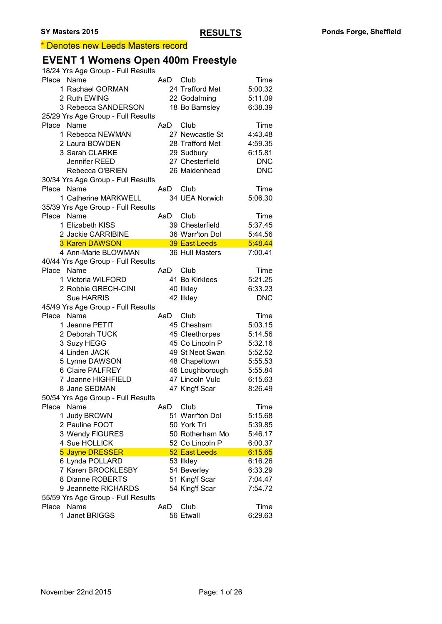#### \* Denotes new Leeds Masters record

### **EVENT 1 Womens Open 400m Freestyle**

| 18/24 Yrs Age Group - Full Results |     |                      |            |
|------------------------------------|-----|----------------------|------------|
| Place Name                         | AaD | Club                 | Time       |
| 1 Rachael GORMAN                   |     | 24 Trafford Met      | 5:00.32    |
| 2 Ruth EWING                       |     | 22 Godalming         | 5:11.09    |
| 3 Rebecca SANDERSON                |     | 18 Bo Barnsley       | 6:38.39    |
| 25/29 Yrs Age Group - Full Results |     |                      |            |
| Name<br>Place                      | AaD | Club                 | Time       |
| 1 Rebecca NEWMAN                   |     | 27 Newcastle St      | 4:43.48    |
| 2 Laura BOWDEN                     |     | 28 Trafford Met      | 4:59.35    |
| 3 Sarah CLARKE                     |     | 29 Sudbury           | 6:15.81    |
| Jennifer REED                      |     | 27 Chesterfield      | <b>DNC</b> |
| Rebecca O'BRIEN                    |     | 26 Maidenhead        | <b>DNC</b> |
| 30/34 Yrs Age Group - Full Results |     |                      |            |
| Name<br>Place                      | AaD | Club                 | Time       |
| 1 Catherine MARKWELL               |     | 34 UEA Norwich       | 5:06.30    |
| 35/39 Yrs Age Group - Full Results |     |                      |            |
| Name<br>Place                      | AaD | Club                 | Time       |
| 1 Elizabeth KISS                   |     | 39 Chesterfield      | 5:37.45    |
| 2 Jackie CARRIBINE                 |     | 36 Warr'ton Dol      | 5:44.56    |
| <b>3 Karen DAWSON</b>              |     | <b>39 East Leeds</b> | 5:48.44    |
| 4 Ann-Marie BLOWMAN                |     | 36 Hull Masters      | 7:00.41    |
| 40/44 Yrs Age Group - Full Results |     |                      |            |
| Place Name                         | AaD | Club                 | Time       |
| 1 Victoria WILFORD                 |     | 41 Bo Kirklees       | 5:21.25    |
|                                    |     |                      |            |
| 2 Robbie GRECH-CINI                |     | 40 Ilkley            | 6:33.23    |
| <b>Sue HARRIS</b>                  |     | 42 Ilkley            | <b>DNC</b> |
| 45/49 Yrs Age Group - Full Results |     |                      |            |
| Place<br>Name                      | AaD | Club                 | Time       |
| 1 Jeanne PETIT                     |     | 45 Chesham           | 5:03.15    |
| 2 Deborah TUCK                     |     | 45 Cleethorpes       | 5:14.56    |
| 3 Suzy HEGG                        |     | 45 Co Lincoln P      | 5:32.16    |
| 4 Linden JACK                      |     | 49 St Neot Swan      | 5:52.52    |
| 5 Lynne DAWSON                     |     | 48 Chapeltown        | 5:55.53    |
| 6 Claire PALFREY                   |     | 46 Loughborough      | 5:55.84    |
| 7 Joanne HIGHFIELD                 |     | 47 Lincoln Vulc      | 6:15.63    |
| 8 Jane SEDMAN                      |     | 47 King'f Scar       | 8:26.49    |
| 50/54 Yrs Age Group - Full Results |     |                      |            |
| Place<br>Name                      | AaD | Club                 | Time       |
| 1 Judy BROWN                       |     | 51 Warr'ton Dol      | 5:15.68    |
| 2 Pauline FOOT                     |     | 50 York Tri          | 5:39.85    |
| 3 Wendy FIGURES                    |     | 50 Rotherham Mo      | 5:46.17    |
| 4 Sue HOLLICK                      |     | 52 Co Lincoln P      | 6:00.37    |
| 5 Jayne DRESSER                    |     | 52 East Leeds        | 6:15.65    |
| 6 Lynda POLLARD                    |     | 53 Ilkley            | 6:16.26    |
| 7 Karen BROCKLESBY                 |     | 54 Beverley          | 6:33.29    |
| 8 Dianne ROBERTS                   |     | 51 King'f Scar       | 7:04.47    |
|                                    |     |                      |            |
| 9 Jeannette RICHARDS               |     | 54 King'f Scar       | 7:54.72    |
| 55/59 Yrs Age Group - Full Results |     |                      |            |
| Name<br>Place                      | AaD | Club                 | Time       |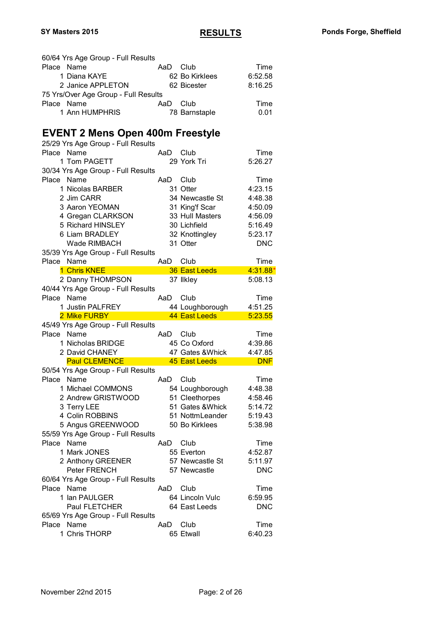|            | 60/64 Yrs Age Group - Full Results         |     |                   |                 |
|------------|--------------------------------------------|-----|-------------------|-----------------|
| Place Name |                                            | AaD | Club              | Time            |
|            | 1 Diana KAYE                               |     | 62 Bo Kirklees    | 6:52.58         |
|            | 2 Janice APPLETON                          |     | 62 Bicester       | 8:16.25         |
|            | 75 Yrs/Over Age Group - Full Results       |     |                   |                 |
| Place Name |                                            | AaD | Club              | Time            |
|            | 1 Ann HUMPHRIS                             |     | 78 Barnstaple     | 0.01            |
|            |                                            |     |                   |                 |
|            | <b>EVENT 2 Mens Open 400m Freestyle</b>    |     |                   |                 |
|            | 25/29 Yrs Age Group - Full Results         |     |                   |                 |
| Place      | Name                                       | AaD | Club              | Time            |
|            | 1 Tom PAGETT                               |     | 29 York Tri       | 5:26.27         |
|            |                                            |     |                   |                 |
|            | 30/34 Yrs Age Group - Full Results<br>Name |     |                   |                 |
| Place      |                                            | AaD | Club              | Time            |
|            | 1 Nicolas BARBER                           |     | 31 Otter          | 4:23.15         |
|            | 2 Jim CARR                                 |     | 34 Newcastle St   | 4:48.38         |
|            | 3 Aaron YEOMAN                             |     | 31 King'f Scar    | 4:50.09         |
|            | 4 Gregan CLARKSON                          |     | 33 Hull Masters   | 4:56.09         |
|            | 5 Richard HINSLEY                          |     | 30 Lichfield      | 5:16.49         |
|            | 6 Liam BRADLEY                             |     | 32 Knottingley    | 5:23.17         |
|            | <b>Wade RIMBACH</b>                        |     | 31 Otter          | <b>DNC</b>      |
|            | 35/39 Yrs Age Group - Full Results         |     |                   |                 |
| Place Name |                                            | AaD | Club              | Time            |
|            | 1 Chris KNEE                               |     | 36 East Leeds     | $4:31.88*$      |
|            | 2 Danny THOMPSON                           |     | 37 Ilkley         | 5:08.13         |
|            | 40/44 Yrs Age Group - Full Results         |     |                   |                 |
| Place Name |                                            | AaD | Club              | Time            |
|            | 1 Justin PALFREY                           |     | 44 Loughborough   | 4:51.25         |
|            | 2 Mike FURBY                               |     | 44 East Leeds     | 5:23.55         |
|            | 45/49 Yrs Age Group - Full Results         |     |                   |                 |
| Place Name |                                            |     | AaD Club          | Time            |
|            | 1 Nicholas BRIDGE                          |     | 45 Co Oxford      | 4:39.86         |
|            | 2 David CHANEY                             |     | 47 Gates & Whick  | 4:47.85         |
|            | <b>Paul CLEMENCE</b>                       |     | 45 East Leeds     | <b>DNF</b>      |
|            | 50/54 Yrs Age Group - Full Results         |     |                   |                 |
| Place Name |                                            | AaD | Club              | Time            |
|            | 1 Michael COMMONS                          |     | 54 Loughborough   | 4:48.38         |
|            | 2 Andrew GRISTWOOD                         |     | 51 Cleethorpes    | 4:58.46         |
|            | 3 Terry LEE                                |     | 51 Gates & Whick  | 5:14.72         |
|            | 4 Colin ROBBINS                            |     | 51 NottmLeander   | 5:19.43         |
|            | 5 Angus GREENWOOD                          |     | 50 Bo Kirklees    | 5:38.98         |
|            | 55/59 Yrs Age Group - Full Results         |     |                   |                 |
| Place      | Name                                       | AaD | Club              | Time            |
|            |                                            |     |                   |                 |
|            | 1 Mark JONES                               |     | 55 Everton        | 4:52.87         |
|            | 2 Anthony GREENER                          |     | 57 Newcastle St   | 5:11.97         |
|            | Peter FRENCH                               |     | 57 Newcastle      | <b>DNC</b>      |
|            | 60/64 Yrs Age Group - Full Results         |     |                   |                 |
| Place Name |                                            | AaD | Club              | Time            |
|            | 1 Ian PAULGER                              |     | 64 Lincoln Vulc   | 6:59.95         |
|            | Paul FLETCHER                              |     | 64 East Leeds     | <b>DNC</b>      |
|            |                                            |     |                   |                 |
|            | 65/69 Yrs Age Group - Full Results         |     |                   |                 |
| Place Name | 1 Chris THORP                              | AaD | Club<br>65 Etwall | Time<br>6:40.23 |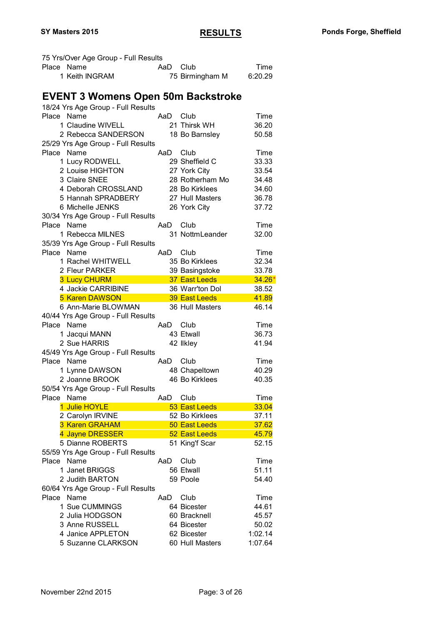| 75 Yrs/Over Age Group - Full Results      |     |                                |                    |
|-------------------------------------------|-----|--------------------------------|--------------------|
| Place Name                                | AaD | Club                           | Time               |
| 1 Keith INGRAM                            |     | 75 Birmingham M                | 6:20.29            |
|                                           |     |                                |                    |
| <b>EVENT 3 Womens Open 50m Backstroke</b> |     |                                |                    |
| 18/24 Yrs Age Group - Full Results        |     |                                |                    |
| Place Name                                | AaD | Club                           | Time               |
| 1 Claudine WIVELL                         |     | 21 Thirsk WH                   | 36.20              |
| 2 Rebecca SANDERSON                       |     | 18 Bo Barnsley                 | 50.58              |
| 25/29 Yrs Age Group - Full Results        |     |                                |                    |
| Place Name                                | AaD | Club                           | Time               |
| 1 Lucy RODWELL                            |     | 29 Sheffield C                 | 33.33              |
| 2 Louise HIGHTON                          |     | 27 York City                   | 33.54              |
| 3 Claire SNEE                             |     | 28 Rotherham Mo                | 34.48              |
| 4 Deborah CROSSLAND                       |     | 28 Bo Kirklees                 | 34.60              |
| 5 Hannah SPRADBERY                        |     | 27 Hull Masters                | 36.78              |
| 6 Michelle JENKS                          |     | 26 York City                   | 37.72              |
| 30/34 Yrs Age Group - Full Results        |     |                                |                    |
| Place Name                                | AaD | Club                           | Time               |
| 1 Rebecca MILNES                          |     | 31 NottmLeander                | 32.00              |
| 35/39 Yrs Age Group - Full Results        |     |                                |                    |
| Place Name                                | AaD | Club                           | Time               |
| 1 Rachel WHITWELL                         |     | 35 Bo Kirklees                 | 32.34              |
| 2 Fleur PARKER                            |     | 39 Basingstoke                 | 33.78              |
| <b>3 Lucy CHURM</b>                       |     | 37 East Leeds                  | $34.26*$           |
| 4 Jackie CARRIBINE                        |     | 36 Warr'ton Dol                | 38.52              |
| <b>5 Karen DAWSON</b>                     |     | <b>39 East Leeds</b>           | 41.89              |
| 6 Ann-Marie BLOWMAN                       |     | 36 Hull Masters                | 46.14              |
| 40/44 Yrs Age Group - Full Results        |     |                                |                    |
| Place Name                                | AaD | Club                           | Time               |
| 1 Jacqui MANN                             |     | 43 Etwall                      | 36.73              |
| 2 Sue HARRIS                              |     | 42 Ilkley                      | 41.94              |
| 45/49 Yrs Age Group - Full Results        |     |                                |                    |
| Place Name                                | AaD | Club                           | Time               |
| 1 Lynne DAWSON                            |     | 48 Chapeltown                  | 40.29              |
| 2 Joanne BROOK                            |     | 46 Bo Kirklees                 | 40.35              |
| 50/54 Yrs Age Group - Full Results        |     |                                |                    |
| Place Name                                | AaD | Club                           | Time               |
| 1 Julie HOYLE                             |     | 53 East Leeds                  | 33.04              |
| 2 Carolyn IRVINE                          |     | 52 Bo Kirklees                 | 37.11              |
| 3 Karen GRAHAM                            |     | 50 East Leeds                  | 37.62              |
| 4 Jayne DRESSER                           |     | 52 East Leeds                  | 45.79              |
| 5 Dianne ROBERTS                          |     | 51 King'f Scar                 | 52.15              |
| 55/59 Yrs Age Group - Full Results        |     |                                |                    |
| Name<br>Place                             | AaD | Club                           | Time               |
| 1 Janet BRIGGS                            |     | 56 Etwall                      | 51.11              |
| 2 Judith BARTON                           |     | 59 Poole                       | 54.40              |
|                                           |     |                                |                    |
| 60/64 Yrs Age Group - Full Results        |     |                                |                    |
| Name<br>Place                             | AaD | Club                           | Time               |
| 1 Sue CUMMINGS                            |     | 64 Bicester                    | 44.61              |
| 2 Julia HODGSON                           |     |                                |                    |
|                                           |     | 60 Bracknell                   | 45.57              |
| 3 Anne RUSSELL                            |     | 64 Bicester                    | 50.02              |
| 4 Janice APPLETON<br>5 Suzanne CLARKSON   |     | 62 Bicester<br>60 Hull Masters | 1:02.14<br>1:07.64 |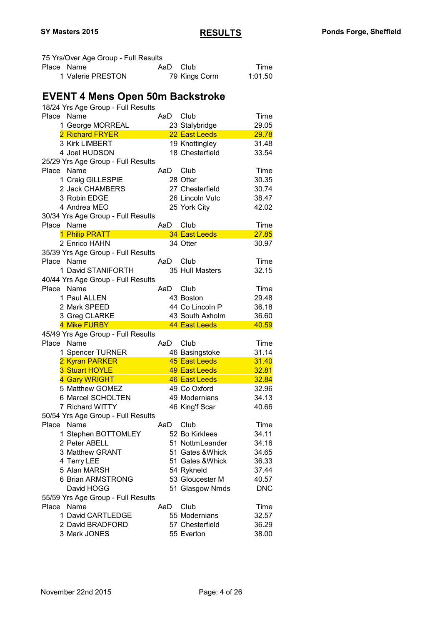| 75 Yrs/Over Age Group - Full Results    |     |                  |            |
|-----------------------------------------|-----|------------------|------------|
| Place Name                              | AaD | Club             | Time       |
| 1 Valerie PRESTON                       |     | 79 Kings Corm    | 1:01.50    |
|                                         |     |                  |            |
|                                         |     |                  |            |
| <b>EVENT 4 Mens Open 50m Backstroke</b> |     |                  |            |
| 18/24 Yrs Age Group - Full Results      |     |                  |            |
| Place Name                              | AaD | Club             | Time       |
| 1 George MORREAL                        |     | 23 Stalybridge   | 29.05      |
| 2 Richard FRYER                         |     | 22 East Leeds    | 29.78      |
| 3 Kirk LIMBERT                          |     | 19 Knottingley   | 31.48      |
| 4 Joel HUDSON                           |     | 18 Chesterfield  | 33.54      |
| 25/29 Yrs Age Group - Full Results      |     |                  |            |
| Place<br>Name                           | AaD | Club             | Time       |
| 1 Craig GILLESPIE                       |     | 28 Otter         | 30.35      |
| 2 Jack CHAMBERS                         |     | 27 Chesterfield  | 30.74      |
| 3 Robin EDGE                            |     | 26 Lincoln Vulc  | 38.47      |
|                                         |     |                  |            |
| 4 Andrea MEO                            |     | 25 York City     | 42.02      |
| 30/34 Yrs Age Group - Full Results      |     |                  |            |
| Place<br>Name                           | AaD | Club             | Time       |
| 1 Philip PRATT                          |     | 34 East Leeds    | 27.85      |
| 2 Enrico HAHN                           |     | 34 Otter         | 30.97      |
| 35/39 Yrs Age Group - Full Results      |     |                  |            |
| Place Name                              | AaD | Club             | Time       |
| 1 David STANIFORTH                      |     | 35 Hull Masters  | 32.15      |
| 40/44 Yrs Age Group - Full Results      |     |                  |            |
| Place Name                              | AaD | Club             | Time       |
| 1 Paul ALLEN                            |     | 43 Boston        | 29.48      |
| 2 Mark SPEED                            |     | 44 Co Lincoln P  | 36.18      |
| 3 Greg CLARKE                           |     | 43 South Axholm  | 36.60      |
| 4 Mike FURBY                            |     | 44 East Leeds    | 40.59      |
| 45/49 Yrs Age Group - Full Results      |     |                  |            |
|                                         |     |                  |            |
| Place Name                              | AaD | Club             | Time       |
| 1 Spencer TURNER                        |     | 46 Basingstoke   | 31.14      |
| 2 Kyran PARKER                          |     | 45 East Leeds    | 31.40      |
| 3 Stuart HOYLE                          |     | 49 East Leeds    | 32.81      |
| 4 Gary WRIGHT                           |     | 46 East Leeds    | 32.84      |
| 5 Matthew GOMEZ                         |     | 49 Co Oxford     | 32.96      |
| 6 Marcel SCHOLTEN                       |     | 49 Modernians    | 34.13      |
| 7 Richard WITTY                         |     | 46 King'f Scar   | 40.66      |
| 50/54 Yrs Age Group - Full Results      |     |                  |            |
| Name<br>Place                           | AaD | Club             | Time       |
| 1 Stephen BOTTOMLEY                     |     | 52 Bo Kirklees   | 34.11      |
| 2 Peter ABELL                           |     | 51 NottmLeander  | 34.16      |
| 3 Matthew GRANT                         |     | 51 Gates & Whick | 34.65      |
|                                         |     | 51 Gates & Whick |            |
| 4 Terry LEE                             |     |                  | 36.33      |
| 5 Alan MARSH                            |     | 54 Rykneld       | 37.44      |
| 6 Brian ARMSTRONG                       |     | 53 Gloucester M  | 40.57      |
| David HOGG                              |     | 51 Glasgow Nmds  | <b>DNC</b> |
| 55/59 Yrs Age Group - Full Results      |     |                  |            |
| Place Name                              | AaD | Club             | Time       |
| 1 David CARTLEDGE                       |     | 55 Modernians    | 32.57      |
| 2 David BRADFORD                        |     | 57 Chesterfield  | 36.29      |
| 3 Mark JONES                            |     | 55 Everton       | 38.00      |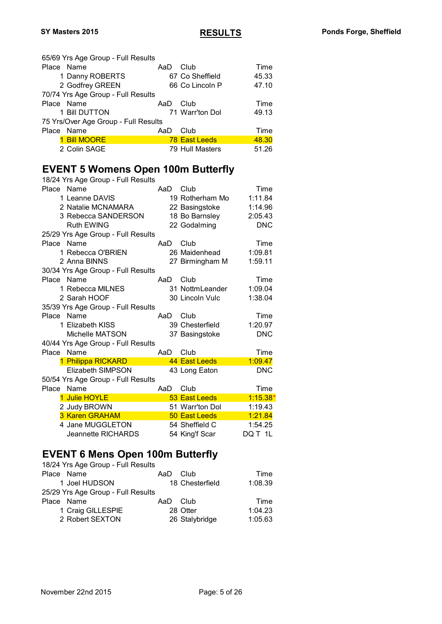65/69 Yrs Age Group - Full Results Place Name **AaD** Club Time 1 Danny ROBERTS 67 Co Sheffield 45.33 2 Godfrey GREEN 66 Co Lincoln P 47.10 70/74 Yrs Age Group - Full Results Place Name (Place Name AaD Club Time Time 1 Bill DUTTON 71 Warr'ton Dol 71 Warr'ton Dol 49.13 75 Yrs/Over Age Group - Full Results Place Name **AaD** Club Time 1 Bill MOORE 78 East Leeds 48.30 2 Colin SAGE 79 Hull Masters 51.26

#### **EVENT 5 Womens Open 100m Butterfly**  $18/24$  Yrs Age Group - Full Pes

|            | 18/24 Yrs Age Group - Full Results |     |                 |            |
|------------|------------------------------------|-----|-----------------|------------|
| Place Name |                                    | AaD | Club            | Time       |
|            | 1 Leanne DAVIS                     |     | 19 Rotherham Mo | 1:11.84    |
|            | 2 Natalie MCNAMARA                 |     | 22 Basingstoke  | 1:14.96    |
|            | 3 Rebecca SANDERSON                |     | 18 Bo Barnsley  | 2:05.43    |
|            | <b>Ruth EWING</b>                  |     | 22 Godalming    | <b>DNC</b> |
|            | 25/29 Yrs Age Group - Full Results |     |                 |            |
| Place Name |                                    | AaD | Club            | Time       |
|            | 1 Rebecca O'BRIEN                  |     | 26 Maidenhead   | 1:09.81    |
|            | 2 Anna BINNS                       |     | 27 Birmingham M | 1:59.11    |
|            | 30/34 Yrs Age Group - Full Results |     |                 |            |
| Place Name |                                    | AaD | Club            | Time       |
|            | 1 Rebecca MILNES                   |     | 31 NottmLeander | 1:09.04    |
|            | 2 Sarah HOOF                       |     | 30 Lincoln Vulc | 1:38.04    |
|            | 35/39 Yrs Age Group - Full Results |     |                 |            |
| Place Name |                                    | AaD | Club            | Time       |
|            | 1 Elizabeth KISS                   |     | 39 Chesterfield | 1:20.97    |
|            | Michelle MATSON                    |     | 37 Basingstoke  | <b>DNC</b> |
|            | 40/44 Yrs Age Group - Full Results |     |                 |            |
| Place      | Name                               | AaD | Club            | Time       |
|            | 1 Philippa RICKARD                 |     | 44 East Leeds   | 1:09.47    |
|            | <b>Elizabeth SIMPSON</b>           |     | 43 Long Eaton   | <b>DNC</b> |
|            | 50/54 Yrs Age Group - Full Results |     |                 |            |
| Place      | Name                               | AaD | Club            | Time       |
|            | <b>Julie HOYLE</b>                 |     | 53 East Leeds   | 1:15.38    |
|            | 2 Judy BROWN                       |     | 51 Warr'ton Dol | 1:19.43    |
|            | 3 Karen GRAHAM                     |     | 50 East Leeds   | 1:21.84    |
|            | 4 Jane MUGGLETON                   |     | 54 Sheffield C  | 1:54.25    |
|            | <b>Jeannette RICHARDS</b>          |     | 54 King'f Scar  | DQ T 1L    |

#### **EVENT 6 Mens Open 100m Butterfly** 18/24 Yrs Age Group - Full Desults

| 18/24 Yrs Age Group - Full Results |     |                 |         |
|------------------------------------|-----|-----------------|---------|
| Place Name                         | AaD | Club            | Time    |
| 1 Joel HUDSON                      |     | 18 Chesterfield | 1:08.39 |
| 25/29 Yrs Age Group - Full Results |     |                 |         |
| Place Name                         | AaD | Club            | Time    |
| 1 Craig GILLESPIE                  |     | 28 Otter        | 1:04.23 |
| 2 Robert SEXTON                    |     | 26 Stalybridge  | 1:05.63 |
|                                    |     |                 |         |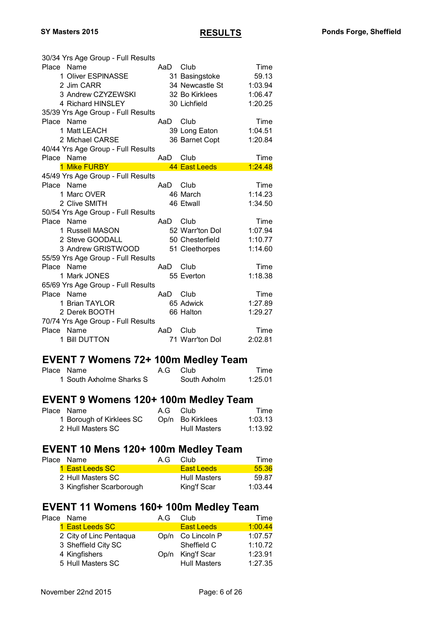| 30/34 Yrs Age Group - Full Results |          |                 |         |
|------------------------------------|----------|-----------------|---------|
| Place Name                         | AaD Club |                 | Time    |
| 1 Oliver ESPINASSE                 |          | 31 Basingstoke  | 59.13   |
| 2 Jim CARR                         |          | 34 Newcastle St | 1:03.94 |
| 3 Andrew CZYZEWSKI                 |          | 32 Bo Kirklees  | 1:06.47 |
| 4 Richard HINSLEY                  |          | 30 Lichfield    | 1:20.25 |
| 35/39 Yrs Age Group - Full Results |          |                 |         |
| Place Name                         | AaD      | Club            | Time    |
| 1 Matt LEACH                       |          | 39 Long Eaton   | 1:04.51 |
| 2 Michael CARSE                    |          | 36 Barnet Copt  | 1:20.84 |
| 40/44 Yrs Age Group - Full Results |          |                 |         |
| Place Name                         | AaD      | Club            | Time    |
| 1 Mike FURBY <b>Analysis</b>       |          | 44 East Leeds   | 1:24.48 |
| 45/49 Yrs Age Group - Full Results |          |                 |         |
| Place Name                         | AaD      | Club            | Time    |
| 1 Marc OVER                        |          | 46 March        | 1:14.23 |
| 2 Clive SMITH                      |          | 46 Etwall       | 1:34.50 |
| 50/54 Yrs Age Group - Full Results |          |                 |         |
| Place Name                         | AaD      | Club            | Time    |
| 1 Russell MASON                    |          | 52 Warr'ton Dol | 1:07.94 |
| 2 Steve GOODALL                    |          | 50 Chesterfield | 1:10.77 |
| 3 Andrew GRISTWOOD                 |          | 51 Cleethorpes  | 1:14.60 |
| 55/59 Yrs Age Group - Full Results |          |                 |         |
| Place Name                         | AaD      | Club            | Time    |
| 1 Mark JONES                       |          | 55 Everton      | 1:18.38 |
| 65/69 Yrs Age Group - Full Results |          |                 |         |
| Place Name                         | AaD      | Club            | Time    |
| 1 Brian TAYLOR                     |          | 65 Adwick       | 1:27.89 |
| 2 Derek BOOTH                      |          | 66 Halton       | 1:29.27 |
| 70/74 Yrs Age Group - Full Results |          |                 |         |
| Place Name                         |          |                 |         |
|                                    | AaD      | Club            | Time    |
| 1 Bill DUTTON                      |          | 71 Warr'ton Dol | 2:02.81 |

#### **EVENT 7 Womens 72+ 100m Medley Team**

| Place Name               | A.G Club     | Time    |
|--------------------------|--------------|---------|
| 1 South Axholme Sharks S | South Axholm | 1:25.01 |

# **EVENT 9 Womens 120+ 100m Medley Team**<br>Place Name A.G Club

| Place Name               | A.G Club |                     | Time    |
|--------------------------|----------|---------------------|---------|
| 1 Borough of Kirklees SC |          | Op/n Bo Kirklees    | 1:03.13 |
| 2 Hull Masters SC        |          | <b>Hull Masters</b> | 1:13.92 |

# **EVENT 10 Mens 120+ 100m Medley Team**<br>Place Name A.G Club

| Time    |
|---------|
| 55.36   |
| 59.87   |
| 1:03.44 |
|         |

# **EVENT 11 Womens 160+ 100m Medley Team**<br>Place Name A.G Club T

| Place Name              | A.G | Club                | Time    |
|-------------------------|-----|---------------------|---------|
| 1 East Leeds SC         |     | <b>East Leeds</b>   | 1:00.44 |
| 2 City of Linc Pentaqua |     | Op/n Co Lincoln P   | 1:07.57 |
| 3 Sheffield City SC     |     | Sheffield C         | 1:10.72 |
| 4 Kingfishers           |     | Op/n King'f Scar    | 1:23.91 |
| 5 Hull Masters SC       |     | <b>Hull Masters</b> | 1:27.35 |
|                         |     |                     |         |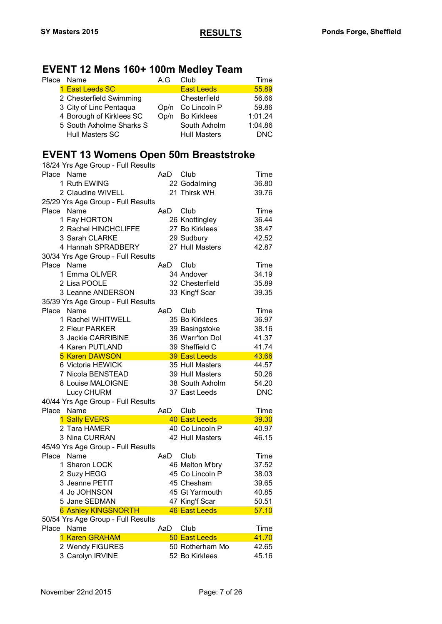### **EVENT 12 Mens 160+ 100m Medley Team**

| Place Name               | A.G  | Club                | Time       |
|--------------------------|------|---------------------|------------|
| 1 East Leeds SC          |      | <b>East Leeds</b>   | 55.89      |
| 2 Chesterfield Swimming  |      | Chesterfield        | 56.66      |
| 3 City of Linc Pentaqua  |      | Op/n Co Lincoln P   | 59.86      |
| 4 Borough of Kirklees SC | Op/n | <b>Bo Kirklees</b>  | 1:01.24    |
| 5 South Axholme Sharks S |      | South Axholm        | 1:04.86    |
| <b>Hull Masters SC</b>   |      | <b>Hull Masters</b> | <b>DNC</b> |
|                          |      |                     |            |

### **EVENT 13 Womens Open 50m Breaststroke**

| 18/24 Yrs Age Group - Full Results |     |                      |            |
|------------------------------------|-----|----------------------|------------|
| Place Name                         | AaD | Club                 | Time       |
| 1 Ruth EWING                       |     | 22 Godalming         | 36.80      |
| 2 Claudine WIVELL                  |     | 21 Thirsk WH         | 39.76      |
| 25/29 Yrs Age Group - Full Results |     |                      |            |
| Place Name                         | AaD | Club                 | Time       |
| 1 Fay HORTON                       |     | 26 Knottingley       | 36.44      |
| 2 Rachel HINCHCLIFFE               |     | 27 Bo Kirklees       | 38.47      |
| 3 Sarah CLARKE                     |     | 29 Sudbury           | 42.52      |
| 4 Hannah SPRADBERY                 |     | 27 Hull Masters      | 42.87      |
| 30/34 Yrs Age Group - Full Results |     |                      |            |
| Place Name                         | AaD | Club                 | Time       |
| 1 Emma OLIVER                      |     | 34 Andover           | 34.19      |
| 2 Lisa POOLE                       |     | 32 Chesterfield      | 35.89      |
| 3 Leanne ANDERSON                  |     | 33 King'f Scar       | 39.35      |
| 35/39 Yrs Age Group - Full Results |     |                      |            |
| Place<br>Name                      | AaD | Club                 | Time       |
| 1 Rachel WHITWELL                  |     | 35 Bo Kirklees       | 36.97      |
| 2 Fleur PARKER                     |     | 39 Basingstoke       | 38.16      |
| 3 Jackie CARRIBINE                 |     | 36 Warr'ton Dol      | 41.37      |
| 4 Karen PUTLAND                    |     | 39 Sheffield C       | 41.74      |
| <b>5 Karen DAWSON</b>              |     | 39 East Leeds        | 43.66      |
| 6 Victoria HEWICK                  |     | 35 Hull Masters      | 44.57      |
| 7 Nicola BENSTEAD                  |     | 39 Hull Masters      | 50.26      |
| 8 Louise MALOIGNE                  |     | 38 South Axholm      | 54.20      |
| Lucy CHURM                         |     | 37 East Leeds        | <b>DNC</b> |
| 40/44 Yrs Age Group - Full Results |     |                      |            |
| Place Name                         | AaD | Club                 | Time       |
| 1 Sally EVERS                      |     | <b>40 East Leeds</b> | 39.30      |
| 2 Tara HAMER                       |     | 40 Co Lincoln P      | 40.97      |
| 3 Nina CURRAN                      |     | 42 Hull Masters      | 46.15      |
| 45/49 Yrs Age Group - Full Results |     |                      |            |
| Place Name                         | AaD | Club                 | Time       |
| 1 Sharon LOCK                      |     | 46 Melton M'bry      | 37.52      |
| 2 Suzy HEGG                        |     | 45 Co Lincoln P      | 38.03      |
| 3 Jeanne PETIT                     |     | 45 Chesham           | 39.65      |
| 4 Jo JOHNSON                       |     | 45 Gt Yarmouth       | 40.85      |
| 5 Jane SEDMAN                      |     | 47 King'f Scar       | 50.51      |
| <b>6 Ashley KINGSNORTH</b>         |     | 46 East Leeds        | 57.10      |
| 50/54 Yrs Age Group - Full Results |     |                      |            |
| Name<br>Place                      | AaD | Club                 | Time       |
| 1 Karen GRAHAM                     |     | 50 East Leeds        | 41.70      |
| 2 Wendy FIGURES                    |     | 50 Rotherham Mo      | 42.65      |
| 3 Carolyn IRVINE                   |     | 52 Bo Kirklees       | 45.16      |
|                                    |     |                      |            |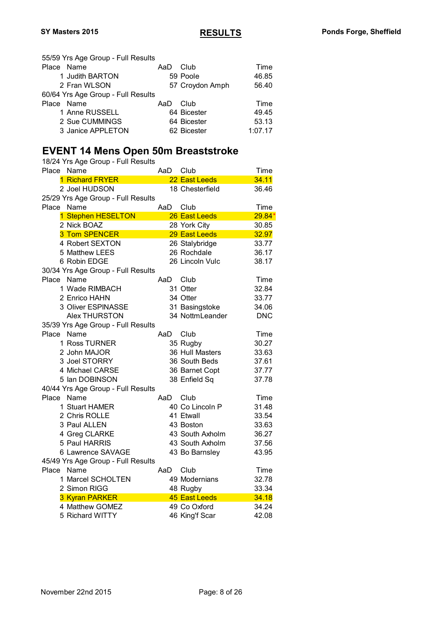| 55/59 Yrs Age Group - Full Results |     |                 |         |
|------------------------------------|-----|-----------------|---------|
| Place Name                         | AaD | Club            | Time    |
| 1 Judith BARTON                    |     | 59 Poole        | 46.85   |
| 2 Fran WLSON                       |     | 57 Croydon Amph | 56.40   |
| 60/64 Yrs Age Group - Full Results |     |                 |         |
| Place Name                         | AaD | Club            | Time    |
| 1 Anne RUSSELL                     |     | 64 Bicester     | 49.45   |
| 2 Sue CUMMINGS                     |     | 64 Bicester     | 53.13   |
| 3 Janice APPLETON                  |     | 62 Bicester     | 1:07.17 |

### **EVENT 14 Mens Open 50m Breaststroke**

| 18/24 Yrs Age Group - Full Results |     |                 |            |
|------------------------------------|-----|-----------------|------------|
| Place<br>Name                      | AaD | Club            | Time       |
| 1 Richard FRYER                    |     | 22 East Leeds   | 34.11      |
| 2 Joel HUDSON                      |     | 18 Chesterfield | 36.46      |
| 25/29 Yrs Age Group - Full Results |     |                 |            |
| Name<br>Place                      | AaD | Club            | Time       |
| 1 Stephen HESELTON                 |     | 26 East Leeds   | 29.84      |
| 2 Nick BOAZ                        |     | 28 York City    | 30.85      |
| <b>3 Tom SPENCER</b>               |     | 29 East Leeds   | 32.97      |
| 4 Robert SEXTON                    |     | 26 Stalybridge  | 33.77      |
| 5 Matthew LEES                     |     | 26 Rochdale     | 36.17      |
| 6 Robin EDGE                       |     | 26 Lincoln Vulc | 38.17      |
| 30/34 Yrs Age Group - Full Results |     |                 |            |
| Name<br>Place                      | AaD | Club            | Time       |
| 1 Wade RIMBACH                     |     | 31 Otter        | 32.84      |
| 2 Enrico HAHN                      |     | 34 Otter        | 33.77      |
| 3 Oliver ESPINASSE                 |     | 31 Basingstoke  | 34.06      |
| <b>Alex THURSTON</b>               |     | 34 NottmLeander | <b>DNC</b> |
| 35/39 Yrs Age Group - Full Results |     |                 |            |
| Place<br>Name                      | AaD | Club            | Time       |
| 1 Ross TURNER                      |     | 35 Rugby        | 30.27      |
| 2 John MAJOR                       |     | 36 Hull Masters | 33.63      |
| 3 Joel STORRY                      |     | 36 South Beds   | 37.61      |
| 4 Michael CARSE                    |     | 36 Barnet Copt  | 37.77      |
| 5 Ian DOBINSON                     |     | 38 Enfield Sq   | 37.78      |
| 40/44 Yrs Age Group - Full Results |     |                 |            |
| Name<br>Place                      | AaD | Club            | Time       |
| 1 Stuart HAMER                     |     | 40 Co Lincoln P | 31.48      |
| 2 Chris ROLLE                      |     | 41 Etwall       | 33.54      |
| 3 Paul ALLEN                       |     | 43 Boston       | 33.63      |
| 4 Greg CLARKE                      |     | 43 South Axholm | 36.27      |
| 5 Paul HARRIS                      |     | 43 South Axholm | 37.56      |
| 6 Lawrence SAVAGE                  |     | 43 Bo Barnsley  | 43.95      |
| 45/49 Yrs Age Group - Full Results |     |                 |            |
| Name<br>Place                      | AaD | Club            | Time       |
| 1 Marcel SCHOLTEN                  |     | 49 Modernians   | 32.78      |
| 2 Simon RIGG                       |     | 48 Rugby        | 33.34      |
| 3 Kyran PARKER                     |     | 45 East Leeds   | 34.18      |
| 4 Matthew GOMEZ                    |     | 49 Co Oxford    | 34.24      |
| 5 Richard WITTY                    |     | 46 King'f Scar  | 42.08      |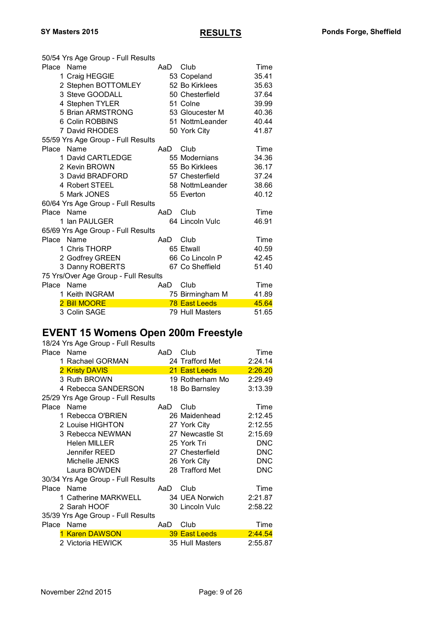|            | 50/54 Yrs Age Group - Full Results   |      |                      |       |
|------------|--------------------------------------|------|----------------------|-------|
| Place Name |                                      | AaD. | Club                 | Time  |
|            | 1 Craig HEGGIE                       |      | 53 Copeland          | 35.41 |
|            | 2 Stephen BOTTOMLEY                  |      | 52 Bo Kirklees       | 35.63 |
|            | 3 Steve GOODALL                      |      | 50 Chesterfield      | 37.64 |
|            | 4 Stephen TYLER                      |      | 51 Colne             | 39.99 |
|            | 5 Brian ARMSTRONG                    |      | 53 Gloucester M      | 40.36 |
|            | 6 Colin ROBBINS                      |      | 51 NottmLeander      | 40.44 |
|            | 7 David RHODES                       |      | 50 York City         | 41.87 |
|            | 55/59 Yrs Age Group - Full Results   |      |                      |       |
| Place Name |                                      | AaD  | Club                 | Time  |
|            | 1 David CARTLEDGE                    |      | 55 Modernians        | 34.36 |
|            | 2 Kevin BROWN                        |      | 55 Bo Kirklees       | 36.17 |
|            | 3 David BRADFORD                     |      | 57 Chesterfield      | 37.24 |
|            | 4 Robert STEEL                       |      | 58 NottmLeander      | 38.66 |
|            | 5 Mark JONES                         |      | 55 Everton           | 40.12 |
|            | 60/64 Yrs Age Group - Full Results   |      |                      |       |
| Place Name |                                      | AaD  | Club                 | Time  |
|            | 1 Ian PAULGER                        |      | 64 Lincoln Vulc      | 46.91 |
|            | 65/69 Yrs Age Group - Full Results   |      |                      |       |
| Place Name |                                      | AaD  | Club                 | Time  |
|            | 1 Chris THORP                        |      | 65 Etwall            | 40.59 |
|            | 2 Godfrey GREEN                      |      | 66 Co Lincoln P      | 42.45 |
|            | 3 Danny ROBERTS                      |      | 67 Co Sheffield      | 51.40 |
|            | 75 Yrs/Over Age Group - Full Results |      |                      |       |
| Place      | Name                                 | AaD  | Club                 | Time  |
|            | 1 Keith INGRAM                       |      | 75 Birmingham M      | 41.89 |
|            | 2 Bill MOORE                         |      | <b>78 East Leeds</b> | 45.64 |
|            | 3 Colin SAGE                         |      | 79 Hull Masters      | 51.65 |

# **EVENT 15 Womens Open 200m Freestyle**

| 18/24 Yrs Age Group - Full Results |     |                 |            |
|------------------------------------|-----|-----------------|------------|
| Place Name                         | AaD | Club            | Time       |
| 1 Rachael GORMAN                   |     | 24 Trafford Met | 2:24.14    |
| 2 Kristy DAVIS                     |     | 21 East Leeds   | 2:26.20    |
| 3 Ruth BROWN                       |     | 19 Rotherham Mo | 2:29.49    |
| 4 Rebecca SANDERSON                |     | 18 Bo Barnsley  | 3:13.39    |
| 25/29 Yrs Age Group - Full Results |     |                 |            |
| Place Name                         | AaD | Club            | Time       |
| 1 Rebecca O'BRIEN                  |     | 26 Maidenhead   | 2:12.45    |
| 2 Louise HIGHTON                   |     | 27 York City    | 2:12.55    |
| 3 Rebecca NEWMAN                   |     | 27 Newcastle St | 2:15.69    |
| <b>Helen MILLER</b>                |     | 25 York Tri     | <b>DNC</b> |
| Jennifer REED                      |     | 27 Chesterfield | <b>DNC</b> |
| Michelle JENKS                     |     | 26 York City    | <b>DNC</b> |
| Laura BOWDEN                       |     | 28 Trafford Met | <b>DNC</b> |
| 30/34 Yrs Age Group - Full Results |     |                 |            |
| Place Name                         | AaD | Club            | Time       |
| 1 Catherine MARKWELL               |     | 34 UEA Norwich  | 2:21.87    |
| 2 Sarah HOOF                       |     | 30 Lincoln Vulc | 2:58.22    |
| 35/39 Yrs Age Group - Full Results |     |                 |            |
| Place Name                         | AaD | Club            | Time       |
| <b>Karen DAWSON</b>                |     | 39 East Leeds   | 2:44.54    |
| 2 Victoria HEWICK                  |     | 35 Hull Masters | 2:55.87    |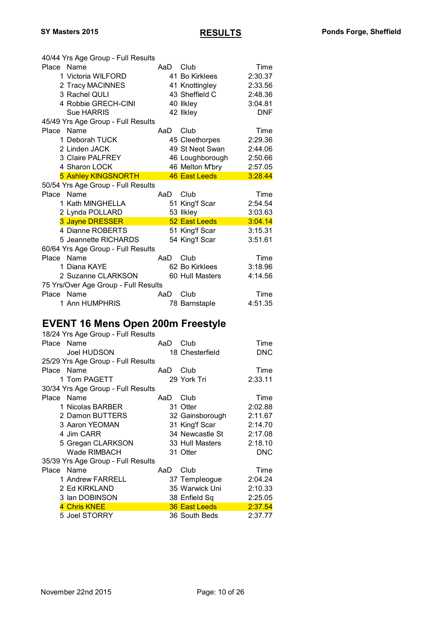|              | 40/44 Yrs Age Group - Full Results   |     |                      |            |
|--------------|--------------------------------------|-----|----------------------|------------|
| Place Name   |                                      | AaD | Club                 | Time       |
|              | 1 Victoria WILFORD                   |     | 41 Bo Kirklees       | 2:30.37    |
|              | 2 Tracy MACINNES                     |     | 41 Knottingley       | 2:33.56    |
|              | 3 Rachel QULI                        |     | 43 Sheffield C       | 2:48.36    |
|              | 4 Robbie GRECH-CINI                  |     | 40 Ilkley            | 3:04.81    |
|              | <b>Sue HARRIS</b>                    |     | 42 likley            | <b>DNF</b> |
|              | 45/49 Yrs Age Group - Full Results   |     |                      |            |
| Place        | Name                                 | AaD | Club                 | Time       |
|              | 1 Deborah TUCK                       |     | 45 Cleethorpes       | 2:29.36    |
|              | 2 Linden JACK                        |     | 49 St Neot Swan      | 2:44.06    |
|              | <b>3 Claire PALFREY</b>              |     | 46 Loughborough      | 2:50.66    |
|              | 4 Sharon LOCK                        |     | 46 Melton M'bry      | 2:57.05    |
|              | 5 Ashley KINGSNORTH                  |     | <b>46 East Leeds</b> | 3:28.44    |
|              | 50/54 Yrs Age Group - Full Results   |     |                      |            |
| <b>Place</b> | Name                                 | AaD | Club                 | Time       |
|              | 1 Kath MINGHELLA                     |     | 51 King'f Scar       | 2:54.54    |
|              | 2 Lynda POLLARD                      |     | 53 llkley            | 3:03.63    |
|              | 3 Jayne DRESSER                      |     | 52 East Leeds        | 3:04.14    |
|              | 4 Dianne ROBERTS                     |     | 51 King'f Scar       | 3:15.31    |
|              | 5 Jeannette RICHARDS                 |     | 54 King'f Scar       | 3:51.61    |
|              | 60/64 Yrs Age Group - Full Results   |     |                      |            |
| Place        | Name                                 | AaD | Club                 | Time       |
|              | 1 Diana KAYE                         |     | 62 Bo Kirklees       | 3:18.96    |
|              | 2 Suzanne CLARKSON                   |     | 60 Hull Masters      | 4:14.56    |
|              | 75 Yrs/Over Age Group - Full Results |     |                      |            |
| Place Name   |                                      | AaD | Club                 | Time       |
|              |                                      |     |                      |            |

#### **EVENT 16 Mens Open 200m Freestyle**

| 18/24 Yrs Age Group - Full Results |     |                 |            |
|------------------------------------|-----|-----------------|------------|
| Place Name                         | AaD | Club            | Time       |
| Joel HUDSON                        |     | 18 Chesterfield | <b>DNC</b> |
| 25/29 Yrs Age Group - Full Results |     |                 |            |
| Place Name                         | AaD | Club            | Time       |
| 1 Tom PAGETT                       |     | 29 York Tri     | 2:33.11    |
| 30/34 Yrs Age Group - Full Results |     |                 |            |
| Place Name                         | AaD | Club            | Time       |
| 1 Nicolas BARBER                   |     | 31 Otter        | 2:02.88    |
| 2 Damon BUTTERS                    |     | 32 Gainsborough | 2:11.67    |
| 3 Aaron YEOMAN                     |     | 31 King'f Scar  | 2:14.70    |
| 4 Jim CARR                         |     | 34 Newcastle St | 2:17.08    |
| 5 Gregan CLARKSON                  |     | 33 Hull Masters | 2:18.10    |
| Wade RIMBACH                       |     | 31 Otter        | <b>DNC</b> |
| 35/39 Yrs Age Group - Full Results |     |                 |            |
| Place Name                         | AaD | Club            | Time       |
| 1 Andrew FARRELL                   |     | 37 Templeogue   | 2:04.24    |
| 2 Ed KIRKLAND                      |     | 35 Warwick Uni  | 2:10.33    |
| 3 Ian DOBINSON                     |     | 38 Enfield Sq   | 2:25.05    |
| 4 Chris KNEE                       |     | 36 East Leeds   | 2:37.54    |
| 5 Joel STORRY                      |     | 36 South Beds   | 2:37.77    |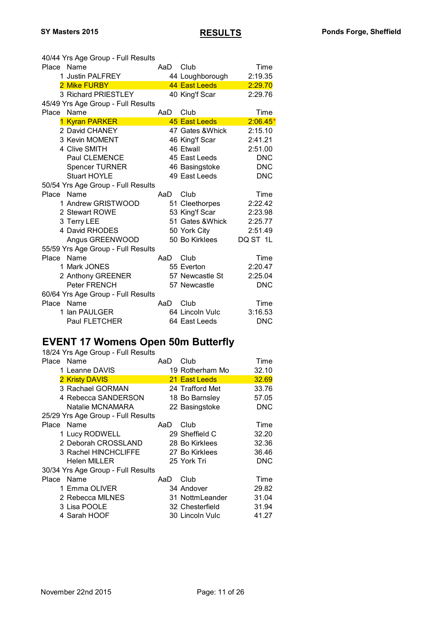| 40/44 Yrs Age Group - Full Results |      |                  |            |
|------------------------------------|------|------------------|------------|
| Place Name                         | AaD. | Club             | Time       |
| <b>Justin PALFREY</b><br>1.        |      | 44 Loughborough  | 2:19.35    |
| 2 Mike FURBY                       |      | 44 East Leeds    | 2:29.70    |
| 3 Richard PRIESTLEY                |      | 40 King'f Scar   | 2:29.76    |
| 45/49 Yrs Age Group - Full Results |      |                  |            |
| Place<br>Name                      | AaD  | Club             | Time       |
| 1 Kyran PARKER                     |      | 45 East Leeds    | $2:06.45*$ |
| 2 David CHANEY                     |      | 47 Gates & Whick | 2:15.10    |
| 3 Kevin MOMENT                     |      | 46 King'f Scar   | 2:41.21    |
| 4 Clive SMITH                      |      | 46 Etwall        | 2:51.00    |
| Paul CLEMENCE                      |      | 45 East Leeds    | <b>DNC</b> |
| <b>Spencer TURNER</b>              |      | 46 Basingstoke   | <b>DNC</b> |
| <b>Stuart HOYLE</b>                |      | 49 East Leeds    | <b>DNC</b> |
| 50/54 Yrs Age Group - Full Results |      |                  |            |
| Place Name                         | AaD  | Club             | Time       |
| 1 Andrew GRISTWOOD                 |      | 51 Cleethorpes   | 2:22.42    |
| 2 Stewart ROWE                     |      | 53 King'f Scar   | 2:23.98    |
| 3 Terry LEE                        |      | 51 Gates & Whick | 2:25.77    |
| 4 David RHODES                     |      | 50 York City     | 2:51.49    |
| Angus GREENWOOD                    |      | 50 Bo Kirklees   | DQ ST 1L   |
| 55/59 Yrs Age Group - Full Results |      |                  |            |
| Place<br>Name                      | AaD  | Club             | Time       |
| 1 Mark JONES                       |      | 55 Everton       | 2:20.47    |
| 2 Anthony GREENER                  |      | 57 Newcastle St  | 2:25.04    |
| <b>Peter FRENCH</b>                |      | 57 Newcastle     | <b>DNC</b> |
| 60/64 Yrs Age Group - Full Results |      |                  |            |
| Place<br>Name                      | AaD  | Club             | Time       |
| 1 Ian PAULGER                      |      | 64 Lincoln Vulc  | 3:16.53    |
| <b>Paul FLETCHER</b>               |      | 64 East Leeds    | <b>DNC</b> |

# **EVENT 17 Womens Open 50m Butterfly**

18/24 Yrs Age Group - Full Results

| Place      | Name                               | AaD | Club            | Time       |
|------------|------------------------------------|-----|-----------------|------------|
|            | 1 Leanne DAVIS                     |     | 19 Rotherham Mo | 32.10      |
|            | <b>2 Kristy DAVIS</b>              |     | 21 East Leeds   | 32.69      |
|            | 3 Rachael GORMAN                   |     | 24 Trafford Met | 33.76      |
|            | 4 Rebecca SANDERSON                |     | 18 Bo Barnsley  | 57.05      |
|            | Natalie MCNAMARA                   |     | 22 Basingstoke  | <b>DNC</b> |
|            | 25/29 Yrs Age Group - Full Results |     |                 |            |
| Place Name |                                    | AaD | Club            | Time       |
|            | 1 Lucy RODWELL                     |     | 29 Sheffield C  | 32.20      |
|            | 2 Deborah CROSSLAND                |     | 28 Bo Kirklees  | 32.36      |
|            | 3 Rachel HINCHCLIFFE               |     | 27 Bo Kirklees  | 36.46      |
|            | <b>Helen MILLER</b>                |     | 25 York Tri     | <b>DNC</b> |
|            | 30/34 Yrs Age Group - Full Results |     |                 |            |
| Place Name |                                    | AaD | Club            | Time       |
|            | 1 Emma OLIVER                      |     | 34 Andover      | 29.82      |
|            | 2 Rebecca MILNES                   |     | 31 NottmLeander | 31.04      |
|            | 3 Lisa POOLE                       |     | 32 Chesterfield | 31.94      |
|            | 4 Sarah HOOF                       |     | 30 Lincoln Vulc | 41.27      |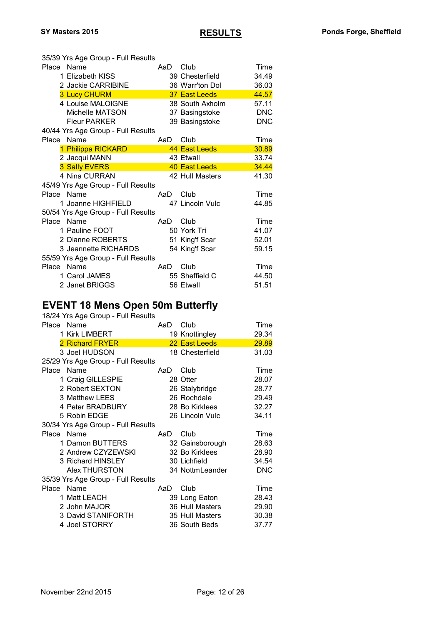|            | 35/39 Yrs Age Group - Full Results |     |                 |            |
|------------|------------------------------------|-----|-----------------|------------|
| Place Name |                                    | AaD | Club            | Time       |
|            | 1 Elizabeth KISS                   |     | 39 Chesterfield | 34.49      |
|            | 2 Jackie CARRIBINE                 |     | 36 Warr'ton Dol | 36.03      |
|            | <b>3 Lucy CHURM</b>                |     | 37 East Leeds   | 44.57      |
|            | 4 Louise MALOIGNE                  |     | 38 South Axholm | 57.11      |
|            | Michelle MATSON                    |     | 37 Basingstoke  | <b>DNC</b> |
|            | <b>Fleur PARKER</b>                |     | 39 Basingstoke  | <b>DNC</b> |
|            | 40/44 Yrs Age Group - Full Results |     |                 |            |
| Place      | Name                               | AaD | Club            | Time       |
|            | 1 Philippa RICKARD                 |     | 44 East Leeds   | 30.89      |
|            | 2 Jacqui MANN                      |     | 43 Etwall       | 33.74      |
|            | 3 Sally EVERS                      |     | 40 East Leeds   | 34.44      |
|            | 4 Nina CURRAN                      |     | 42 Hull Masters | 41.30      |
|            | 45/49 Yrs Age Group - Full Results |     |                 |            |
| Place Name |                                    | AaD | Club            | Time       |
|            | 1 Joanne HIGHFIELD                 |     | 47 Lincoln Vulc | 44.85      |
|            | 50/54 Yrs Age Group - Full Results |     |                 |            |
| Place Name |                                    | AaD | Club            | Time       |
|            | 1 Pauline FOOT                     |     | 50 York Tri     | 41.07      |
|            | 2 Dianne ROBERTS                   |     | 51 King'f Scar  | 52.01      |
|            | 3 Jeannette RICHARDS               |     | 54 King'f Scar  | 59.15      |
|            | 55/59 Yrs Age Group - Full Results |     |                 |            |
| Place Name |                                    | AaD | Club            | Time       |
|            | 1 Carol JAMES                      |     | 55 Sheffield C  | 44.50      |
|            | 2 Janet BRIGGS                     |     | 56 Etwall       | 51.51      |

#### **EVENT 18 Mens Open 50m Butterfly**

| 18/24 Yrs Age Group - Full Results |     |                 |            |
|------------------------------------|-----|-----------------|------------|
| Place Name                         | AaD | Club            | Time       |
| 1 Kirk LIMBERT                     |     | 19 Knottingley  | 29.34      |
| 2 Richard FRYER                    |     | 22 East Leeds   | 29.89      |
| 3 Joel HUDSON                      |     | 18 Chesterfield | 31.03      |
| 25/29 Yrs Age Group - Full Results |     |                 |            |
| Place Name                         | AaD | Club            | Time       |
| 1 Craig GILLESPIE                  |     | 28 Otter        | 28.07      |
| 2 Robert SEXTON                    |     | 26 Stalybridge  | 28.77      |
| 3 Matthew LEES                     |     | 26 Rochdale     | 29.49      |
| 4 Peter BRADBURY                   |     | 28 Bo Kirklees  | 32.27      |
| 5 Robin EDGE                       |     | 26 Lincoln Vulc | 34.11      |
| 30/34 Yrs Age Group - Full Results |     |                 |            |
| Place Name                         | AaD | Club            | Time       |
| 1 Damon BUTTERS                    |     | 32 Gainsborough | 28.63      |
| 2 Andrew CZYZEWSKI                 |     | 32 Bo Kirklees  | 28.90      |
| 3 Richard HINSLEY                  |     | 30 Lichfield    | 34.54      |
| <b>Alex THURSTON</b>               |     | 34 NottmLeander | <b>DNC</b> |
| 35/39 Yrs Age Group - Full Results |     |                 |            |
| Place Name                         | AaD | Club            | Time       |
| 1 Matt LEACH                       |     | 39 Long Eaton   | 28.43      |
| 2 John MAJOR                       |     | 36 Hull Masters | 29.90      |
| 3 David STANIFORTH                 |     | 35 Hull Masters | 30.38      |
| 4 Joel STORRY                      |     | 36 South Beds   | 37.77      |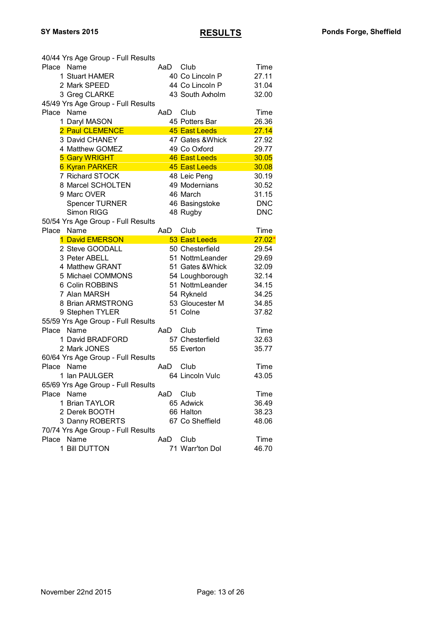| 40/44 Yrs Age Group - Full Results |     |                  |            |
|------------------------------------|-----|------------------|------------|
| Place Name                         | AaD | Club             | Time       |
| 1 Stuart HAMER                     |     | 40 Co Lincoln P  | 27.11      |
| 2 Mark SPEED                       |     | 44 Co Lincoln P  | 31.04      |
| 3 Greg CLARKE                      |     | 43 South Axholm  | 32.00      |
| 45/49 Yrs Age Group - Full Results |     |                  |            |
| Place Name                         | AaD | Club             | Time       |
| 1 Daryl MASON                      |     | 45 Potters Bar   | 26.36      |
| 2 Paul CLEMENCE                    |     | 45 East Leeds    | 27.14      |
| 3 David CHANEY                     |     | 47 Gates & Whick | 27.92      |
| 4 Matthew GOMEZ                    |     | 49 Co Oxford     | 29.77      |
| <b>5 Gary WRIGHT</b>               |     | 46 East Leeds    | 30.05      |
| <b>6 Kyran PARKER</b>              |     | 45 East Leeds    | 30.08      |
| 7 Richard STOCK                    |     | 48 Leic Peng     | 30.19      |
| 8 Marcel SCHOLTEN                  |     | 49 Modernians    | 30.52      |
| 9 Marc OVER                        |     | 46 March         | 31.15      |
| <b>Spencer TURNER</b>              |     | 46 Basingstoke   | <b>DNC</b> |
| Simon RIGG                         |     | 48 Rugby         | <b>DNC</b> |
| 50/54 Yrs Age Group - Full Results |     |                  |            |
| Name<br>Place                      | AaD | Club             | Time       |
| 1 David EMERSON                    |     | 53 East Leeds    | $27.02*$   |
| 2 Steve GOODALL                    |     | 50 Chesterfield  | 29.54      |
| 3 Peter ABELL                      |     | 51 NottmLeander  | 29.69      |
| 4 Matthew GRANT                    |     | 51 Gates & Whick | 32.09      |
| 5 Michael COMMONS                  |     | 54 Loughborough  | 32.14      |
| 6 Colin ROBBINS                    |     | 51 NottmLeander  | 34.15      |
| 7 Alan MARSH                       |     | 54 Rykneld       | 34.25      |
| 8 Brian ARMSTRONG                  |     | 53 Gloucester M  | 34.85      |
| 9 Stephen TYLER                    |     | 51 Colne         | 37.82      |
| 55/59 Yrs Age Group - Full Results |     |                  |            |
| Place<br>Name                      | AaD | Club             | Time       |
| 1 David BRADFORD                   |     | 57 Chesterfield  | 32.63      |
| 2 Mark JONES                       |     | 55 Everton       | 35.77      |
| 60/64 Yrs Age Group - Full Results |     |                  |            |
| Place<br>Name                      | AaD | Club             | Time       |
| 1 Ian PAULGER                      |     | 64 Lincoln Vulc  | 43.05      |
| 65/69 Yrs Age Group - Full Results |     |                  |            |
| Place Name                         | AaD | Club             | Time       |
| 1 Brian TAYLOR                     |     | 65 Adwick        | 36.49      |
| 2 Derek BOOTH                      |     | 66 Halton        | 38.23      |
| 3 Danny ROBERTS                    |     | 67 Co Sheffield  | 48.06      |
| 70/74 Yrs Age Group - Full Results |     |                  |            |
| Place Name                         | AaD | Club             | Time       |
| 1 Bill DUTTON                      |     | 71 Warr'ton Dol  | 46.70      |
|                                    |     |                  |            |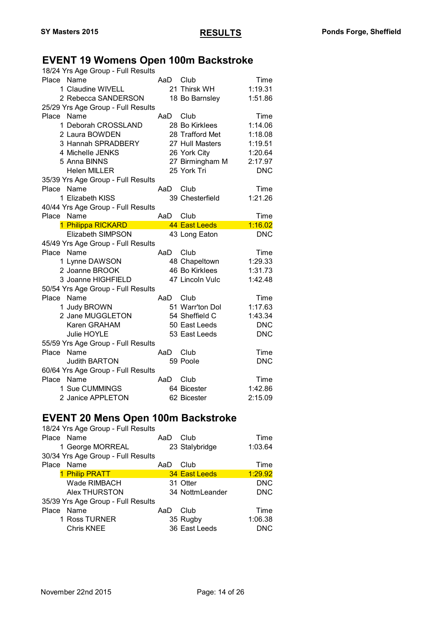### **EVENT 19 Womens Open 100m Backstroke**

| 18/24 Yrs Age Group - Full Results                  |     |                 |            |
|-----------------------------------------------------|-----|-----------------|------------|
| Place Name                                          | AaD | Club            | Time       |
| 1 Claudine WIVELL                                   |     | 21 Thirsk WH    | 1:19.31    |
| 2 Rebecca SANDERSON                                 |     | 18 Bo Barnsley  | 1:51.86    |
| 25/29 Yrs Age Group - Full Results                  |     |                 |            |
| Place Name                                          | AaD | Club            | Time       |
| 1 Deborah CROSSLAND                                 |     | 28 Bo Kirklees  | 1:14.06    |
| 2 Laura BOWDEN                                      |     | 28 Trafford Met | 1:18.08    |
| 3 Hannah SPRADBERY                                  |     | 27 Hull Masters | 1:19.51    |
| 4 Michelle JENKS                                    |     | 26 York City    | 1:20.64    |
| 5 Anna BINNS                                        |     | 27 Birmingham M | 2:17.97    |
| <b>Helen MILLER</b>                                 |     | 25 York Tri     | <b>DNC</b> |
| 35/39 Yrs Age Group - Full Results                  |     |                 |            |
| Name<br>Place                                       | AaD | Club            | Time       |
| 1 Elizabeth KISS                                    |     | 39 Chesterfield | 1:21.26    |
| 40/44 Yrs Age Group - Full Results                  |     |                 |            |
| Name<br>Place                                       | AaD | Club            | Time       |
| 1 Philippa RICKARD                                  |     | 44 East Leeds   | 1:16.02    |
|                                                     |     |                 |            |
| <b>Elizabeth SIMPSON</b>                            |     | 43 Long Eaton   | <b>DNC</b> |
| 45/49 Yrs Age Group - Full Results                  |     |                 |            |
| Place<br>Name                                       | AaD | Club            | Time       |
| 1 Lynne DAWSON                                      |     | 48 Chapeltown   | 1:29.33    |
| 2 Joanne BROOK                                      |     | 46 Bo Kirklees  | 1:31.73    |
| 3 Joanne HIGHFIELD                                  |     | 47 Lincoln Vulc | 1:42.48    |
| 50/54 Yrs Age Group - Full Results                  |     |                 |            |
| Place<br>Name                                       | AaD | Club            | Time       |
| 1 Judy BROWN                                        |     | 51 Warr'ton Dol | 1:17.63    |
| 2 Jane MUGGLETON                                    |     | 54 Sheffield C  | 1:43.34    |
| Karen GRAHAM                                        |     | 50 East Leeds   | <b>DNC</b> |
| <b>Julie HOYLE</b>                                  |     | 53 East Leeds   | <b>DNC</b> |
|                                                     |     |                 |            |
| 55/59 Yrs Age Group - Full Results<br>Name<br>Place | AaD | Club            | Time       |
| <b>Judith BARTON</b>                                |     | 59 Poole        | <b>DNC</b> |
| 60/64 Yrs Age Group - Full Results                  |     |                 |            |
| Place Name                                          | AaD | Club            | Time       |
| 1 Sue CUMMINGS                                      |     | 64 Bicester     | 1:42.86    |

#### **EVENT 20 Mens Open 100m Backstroke**

| 18/24 Yrs Age Group - Full Results |     |                 |            |
|------------------------------------|-----|-----------------|------------|
| Place Name                         | AaD | Club            | Time       |
| 1 George MORREAL                   |     | 23 Stalybridge  | 1:03.64    |
| 30/34 Yrs Age Group - Full Results |     |                 |            |
| Place Name                         | AaD | Club            | Time       |
| 1 Philip PRATT                     |     | 34 East Leeds   | 1:29.92    |
| Wade RIMBACH                       |     | 31 Otter        | <b>DNC</b> |
| <b>Alex THURSTON</b>               |     | 34 NottmLeander | <b>DNC</b> |
| 35/39 Yrs Age Group - Full Results |     |                 |            |
| Name<br>Place                      | AaD | Club            | Time       |
| 1 Ross TURNER                      |     | 35 Rugby        | 1:06.38    |
| <b>Chris KNEE</b>                  |     | 36 East Leeds   | DNC        |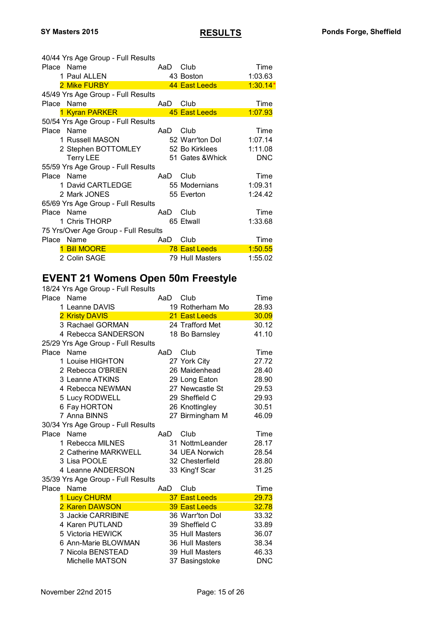| 40/44 Yrs Age Group - Full Results   |     |                  |            |
|--------------------------------------|-----|------------------|------------|
| Place Name                           | AaD | Club             | Time       |
| 1 Paul ALLEN                         |     | 43 Boston        | 1:03.63    |
| 2 Mike FURBY                         |     | 44 East Leeds    | $1:30.14*$ |
| 45/49 Yrs Age Group - Full Results   |     |                  |            |
| Place Name                           | AaD | Club             | Time       |
| 1 Kyran PARKER                       |     | 45 East Leeds    | 1:07.93    |
| 50/54 Yrs Age Group - Full Results   |     |                  |            |
| Place Name                           | AaD | Club             | Time       |
| 1 Russell MASON                      |     | 52 Warr'ton Dol  | 1:07.14    |
| 2 Stephen BOTTOMLEY 52 Bo Kirklees   |     |                  | 1:11.08    |
| <b>Terry LEE</b>                     |     | 51 Gates & Whick | <b>DNC</b> |
| 55/59 Yrs Age Group - Full Results   |     |                  |            |
| Place Name                           | AaD | Club             | Time       |
| 1 David CARTLEDGE                    |     | 55 Modernians    | 1:09.31    |
| 2 Mark JONES                         |     | 55 Everton       | 1:24.42    |
| 65/69 Yrs Age Group - Full Results   |     |                  |            |
| Place Name                           | AaD | Club             | Time       |
| 1 Chris THORP                        |     | 65 Etwall        | 1:33.68    |
| 75 Yrs/Over Age Group - Full Results |     |                  |            |
| Place Name                           | AaD | Club             | Time       |
| <b>Bill MOORE</b>                    |     | 78 East Leeds    | 1:50.55    |
| 2 Colin SAGE                         |     | 79 Hull Masters  | 1:55.02    |

# **EVENT 21 Womens Open 50m Freestyle**

| 18/24 Yrs Age Group - Full Results |     |                 |            |
|------------------------------------|-----|-----------------|------------|
| Name<br>Place                      | AaD | Club            | Time       |
| 1 Leanne DAVIS                     |     | 19 Rotherham Mo | 28.93      |
| 2 Kristy DAVIS                     |     | 21 East Leeds   | 30.09      |
| 3 Rachael GORMAN                   |     | 24 Trafford Met | 30.12      |
| 4 Rebecca SANDERSON                |     | 18 Bo Barnsley  | 41.10      |
| 25/29 Yrs Age Group - Full Results |     |                 |            |
| Place Name                         | AaD | Club            | Time       |
| 1 Louise HIGHTON                   |     | 27 York City    | 27.72      |
| 2 Rebecca O'BRIEN                  |     | 26 Maidenhead   | 28.40      |
| 3 Leanne ATKINS                    |     | 29 Long Eaton   | 28.90      |
| 4 Rebecca NEWMAN                   |     | 27 Newcastle St | 29.53      |
| 5 Lucy RODWELL                     |     | 29 Sheffield C  | 29.93      |
| 6 Fay HORTON                       |     | 26 Knottingley  | 30.51      |
| 7 Anna BINNS                       |     | 27 Birmingham M | 46.09      |
| 30/34 Yrs Age Group - Full Results |     |                 |            |
| Name<br>Place                      | AaD | Club            | Time       |
| 1 Rebecca MILNES                   |     | 31 NottmLeander | 28.17      |
| 2 Catherine MARKWELL               |     | 34 UEA Norwich  | 28.54      |
| 3 Lisa POOLE                       |     | 32 Chesterfield | 28.80      |
| 4 Leanne ANDERSON                  |     | 33 King'f Scar  | 31.25      |
| 35/39 Yrs Age Group - Full Results |     |                 |            |
| Name<br>Place                      | AaD | Club            | Time       |
| 1 Lucy CHURM                       |     | 37 East Leeds   | 29.73      |
| 2 Karen DAWSON                     |     | 39 East Leeds   | 32.78      |
| 3 Jackie CARRIBINE                 |     | 36 Warr'ton Dol | 33.32      |
| 4 Karen PUTLAND                    |     | 39 Sheffield C  | 33.89      |
| 5 Victoria HEWICK                  |     | 35 Hull Masters | 36.07      |
| 6 Ann-Marie BLOWMAN                |     | 36 Hull Masters | 38.34      |
| 7 Nicola BENSTEAD                  |     | 39 Hull Masters | 46.33      |
| Michelle MATSON                    |     | 37 Basingstoke  | <b>DNC</b> |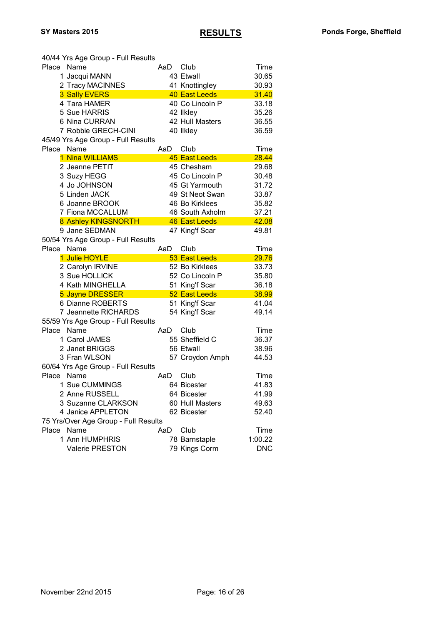| 40/44 Yrs Age Group - Full Results   |     |                                |                       |
|--------------------------------------|-----|--------------------------------|-----------------------|
| Place Name                           | AaD | Club                           | Time                  |
| 1 Jacqui MANN                        |     | 43 Etwall                      | 30.65                 |
| 2 Tracy MACINNES                     |     | 41 Knottingley                 | 30.93                 |
| 3 Sally EVERS                        |     | 40 East Leeds                  | 31.40                 |
| 4 Tara HAMER                         |     | 40 Co Lincoln P                | 33.18                 |
| 5 Sue HARRIS                         |     | 42 likley                      | 35.26                 |
| 6 Nina CURRAN                        |     | 42 Hull Masters                | 36.55                 |
| 7 Robbie GRECH-CINI                  |     | 40 Ilkley                      | 36.59                 |
| 45/49 Yrs Age Group - Full Results   |     |                                |                       |
| Name<br>Place                        | AaD | Club                           | Time                  |
| 1 Nina WILLIAMS                      |     | 45 East Leeds                  | 28.44                 |
| 2 Jeanne PETIT                       |     | 45 Chesham                     | 29.68                 |
| 3 Suzy HEGG                          |     | 45 Co Lincoln P                | 30.48                 |
| 4 Jo JOHNSON                         |     | 45 Gt Yarmouth                 | 31.72                 |
| 5 Linden JACK                        |     | 49 St Neot Swan                | 33.87                 |
| 6 Joanne BROOK                       |     | 46 Bo Kirklees                 | 35.82                 |
| 7 Fiona MCCALLUM                     |     | 46 South Axholm                | 37.21                 |
| 8 Ashley KINGSNORTH                  |     | 46 East Leeds                  | 42.08                 |
| 9 Jane SEDMAN                        |     | 47 King'f Scar                 | 49.81                 |
| 50/54 Yrs Age Group - Full Results   |     |                                |                       |
| Name<br>Place                        | AaD | Club                           | Time                  |
|                                      |     |                                |                       |
|                                      |     |                                |                       |
| 1 Julie HOYLE                        |     | 53 East Leeds                  | 29.76                 |
| 2 Carolyn IRVINE                     |     | 52 Bo Kirklees                 | 33.73                 |
| 3 Sue HOLLICK                        |     | 52 Co Lincoln P                | 35.80                 |
| 4 Kath MINGHELLA                     |     | 51 King'f Scar                 | 36.18                 |
| 5 Jayne DRESSER                      |     | 52 East Leeds                  | 38.99                 |
| 6 Dianne ROBERTS                     |     | 51 King'f Scar                 | 41.04                 |
| 7 Jeannette RICHARDS                 |     | 54 King'f Scar                 | 49.14                 |
| 55/59 Yrs Age Group - Full Results   |     |                                |                       |
| Place<br>Name                        | AaD | Club                           | Time                  |
| 1 Carol JAMES                        |     | 55 Sheffield C                 | 36.37                 |
| 2 Janet BRIGGS                       |     | 56 Etwall                      | 38.96                 |
| 3 Fran WLSON                         |     | 57 Croydon Amph                | 44.53                 |
| 60/64 Yrs Age Group - Full Results   |     |                                |                       |
| Place<br>Name                        | AaD | Club                           | Time                  |
| 1 Sue CUMMINGS                       |     | 64 Bicester                    | 41.83                 |
| 2 Anne RUSSELL                       |     | 64 Bicester                    | 41.99                 |
| 3 Suzanne CLARKSON                   |     | 60 Hull Masters                | 49.63                 |
| 4 Janice APPLETON                    |     | 62 Bicester                    | 52.40                 |
| 75 Yrs/Over Age Group - Full Results |     |                                |                       |
| Name<br>Place                        | AaD | Club                           | Time                  |
| 1 Ann HUMPHRIS<br>Valerie PRESTON    |     | 78 Barnstaple<br>79 Kings Corm | 1:00.22<br><b>DNC</b> |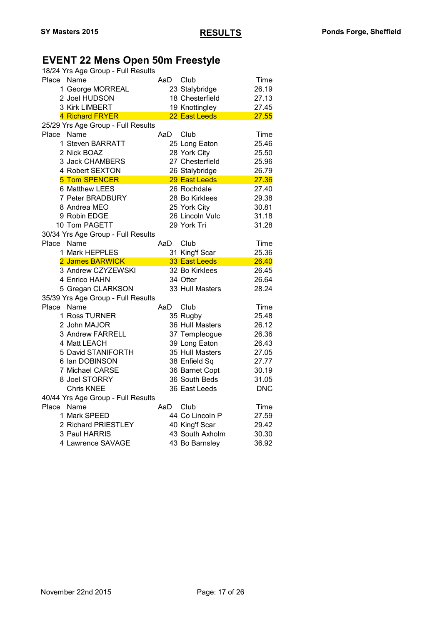# **EVENT 22 Mens Open 50m Freestyle**

|            | 18/24 Yrs Age Group - Full Results |      |                                |            |
|------------|------------------------------------|------|--------------------------------|------------|
| Place Name |                                    | AaD  | Club                           | Time       |
|            | 1 George MORREAL                   |      | 23 Stalybridge                 | 26.19      |
|            | 2 Joel HUDSON                      |      | 18 Chesterfield                | 27.13      |
|            | 3 Kirk LIMBERT                     |      | 19 Knottingley                 | 27.45      |
|            | 4 Richard FRYER                    |      | 22 East Leeds                  | 27.55      |
|            | 25/29 Yrs Age Group - Full Results |      |                                |            |
| Place      | Name                               | AaD  | Club                           | Time       |
|            | 1 Steven BARRATT                   |      | 25 Long Eaton                  | 25.46      |
|            | 2 Nick BOAZ                        |      | 28 York City                   | 25.50      |
|            | 3 Jack CHAMBERS                    |      | 27 Chesterfield                | 25.96      |
|            | 4 Robert SEXTON                    |      | 26 Stalybridge                 | 26.79      |
|            | <b>5 Tom SPENCER</b>               |      | 29 East Leeds                  | 27.36      |
|            | 6 Matthew LEES                     |      | 26 Rochdale                    | 27.40      |
|            | 7 Peter BRADBURY                   |      | 28 Bo Kirklees                 | 29.38      |
|            | 8 Andrea MEO                       |      | 25 York City                   | 30.81      |
|            | 9 Robin EDGE                       |      | 26 Lincoln Vulc                | 31.18      |
|            | 10 Tom PAGETT                      |      | 29 York Tri                    | 31.28      |
|            | 30/34 Yrs Age Group - Full Results |      |                                |            |
| Place      | Name                               | AaD  | Club                           | Time       |
|            | 1 Mark HEPPLES                     |      | 31 King'f Scar                 | 25.36      |
|            |                                    |      |                                |            |
|            | 2 James BARWICK                    |      | 33 East Leeds                  | 26.40      |
|            | 3 Andrew CZYZEWSKI                 |      | 32 Bo Kirklees                 | 26.45      |
|            | 4 Enrico HAHN                      |      | 34 Otter                       | 26.64      |
|            | 5 Gregan CLARKSON                  |      | 33 Hull Masters                | 28.24      |
|            | 35/39 Yrs Age Group - Full Results |      |                                |            |
| Place      | Name                               | AaD. | Club                           | Time       |
|            | 1 Ross TURNER                      |      |                                | 25.48      |
|            | 2 John MAJOR                       |      | 35 Rugby<br>36 Hull Masters    | 26.12      |
|            | 3 Andrew FARRELL                   |      |                                | 26.36      |
|            | 4 Matt LEACH                       |      | 37 Templeogue<br>39 Long Eaton | 26.43      |
|            | 5 David STANIFORTH                 |      | 35 Hull Masters                | 27.05      |
|            | 6 Ian DOBINSON                     |      | 38 Enfield Sq                  | 27.77      |
|            | 7 Michael CARSE                    |      | 36 Barnet Copt                 | 30.19      |
|            | 8 Joel STORRY                      |      | 36 South Beds                  | 31.05      |
|            | <b>Chris KNEE</b>                  |      | 36 East Leeds                  | <b>DNC</b> |
|            | 40/44 Yrs Age Group - Full Results |      |                                |            |
| Place      | Name                               | AaD  | Club                           | Time       |
|            | 1 Mark SPEED                       |      | 44 Co Lincoln P                | 27.59      |
|            | 2 Richard PRIESTLEY                |      | 40 King'f Scar                 | 29.42      |
|            | 3 Paul HARRIS                      |      | 43 South Axholm                | 30.30      |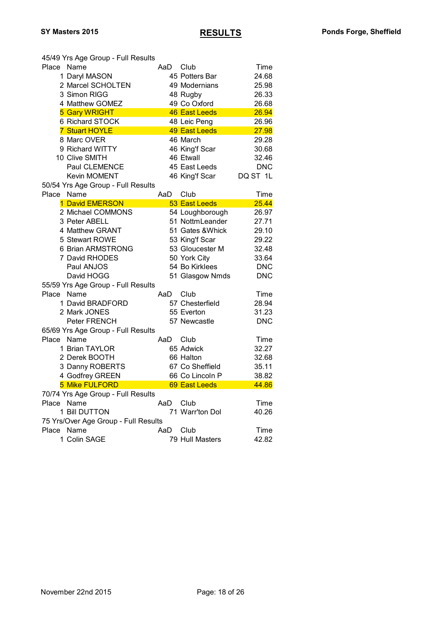|            | 45/49 Yrs Age Group - Full Results   |      |                      |            |
|------------|--------------------------------------|------|----------------------|------------|
| Place      | Name                                 |      | AaD Club             | Time       |
|            | 1 Daryl MASON                        |      | 45 Potters Bar       | 24.68      |
|            | 2 Marcel SCHOLTEN                    |      | 49 Modernians        | 25.98      |
|            | 3 Simon RIGG                         |      | 48 Rugby             | 26.33      |
|            | 4 Matthew GOMEZ                      |      | 49 Co Oxford         | 26.68      |
|            | <b>5 Gary WRIGHT</b>                 |      | <b>46 East Leeds</b> | 26.94      |
|            | 6 Richard STOCK                      |      | 48 Leic Peng         | 26.96      |
|            | <b>7 Stuart HOYLE</b>                |      | <b>49 East Leeds</b> | 27.98      |
|            | 8 Marc OVER                          |      | 46 March             | 29.28      |
|            | 9 Richard WITTY                      |      | 46 King'f Scar       | 30.68      |
|            | 10 Clive SMITH                       |      | 46 Etwall            | 32.46      |
|            | Paul CLEMENCE                        |      | 45 East Leeds        | <b>DNC</b> |
|            | <b>Kevin MOMENT</b>                  |      | 46 King'f Scar       | DQ ST 1L   |
|            | 50/54 Yrs Age Group - Full Results   |      |                      |            |
| Place      | Name                                 | AaD  | Club                 | Time       |
|            | 1 David EMERSON                      |      | 53 East Leeds        | 25.44      |
|            | 2 Michael COMMONS                    |      | 54 Loughborough      | 26.97      |
|            | 3 Peter ABELL                        |      | 51 NottmLeander      | 27.71      |
|            | 4 Matthew GRANT                      |      | 51 Gates & Whick     | 29.10      |
|            | 5 Stewart ROWE                       |      | 53 King'f Scar       | 29.22      |
|            | 6 Brian ARMSTRONG                    |      | 53 Gloucester M      | 32.48      |
|            | 7 David RHODES                       |      | 50 York City         | 33.64      |
|            | Paul ANJOS                           |      | 54 Bo Kirklees       | <b>DNC</b> |
|            | David HOGG                           |      | 51 Glasgow Nmds      | <b>DNC</b> |
|            | 55/59 Yrs Age Group - Full Results   |      |                      |            |
| Place      | Name                                 | AaD  | Club                 | Time       |
|            | 1 David BRADFORD                     |      | 57 Chesterfield      | 28.94      |
|            | 2 Mark JONES                         |      | 55 Everton           | 31.23      |
|            | Peter FRENCH                         |      | 57 Newcastle         | <b>DNC</b> |
|            | 65/69 Yrs Age Group - Full Results   |      |                      |            |
| Place      | Name                                 | AaD. | Club                 | Time       |
|            | 1 Brian TAYLOR                       |      | 65 Adwick            | 32.27      |
|            | 2 Derek BOOTH                        |      | 66 Halton            | 32.68      |
|            | 3 Danny ROBERTS                      |      | 67 Co Sheffield      | 35.11      |
|            | 4 Godfrey GREEN                      |      | 66 Co Lincoln P      | 38.82      |
|            | <b>5 Mike FULFORD</b>                |      | 69 East Leeds        | 44.86      |
|            | 70/74 Yrs Age Group - Full Results   |      |                      |            |
| Place Name |                                      | AaD  | Club                 | Time       |
|            | 1 Bill DUTTON                        |      | 71 Warr'ton Dol      | 40.26      |
|            | 75 Yrs/Over Age Group - Full Results |      |                      |            |
| Place Name |                                      | AaD  | Club                 | Time       |
|            | 1 Colin SAGE                         |      | 79 Hull Masters      | 42.82      |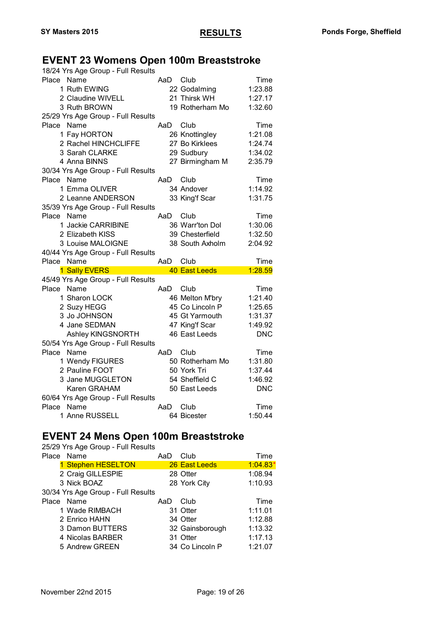### **EVENT 23 Womens Open 100m Breaststroke**

| 18/24 Yrs Age Group - Full Results |     |                     |                 |
|------------------------------------|-----|---------------------|-----------------|
| Place Name                         | AaD | Club                | Time            |
| 1 Ruth EWING                       |     | 22 Godalming        | 1:23.88         |
| 2 Claudine WIVELL                  |     | 21 Thirsk WH        | 1:27.17         |
| 3 Ruth BROWN                       |     | 19 Rotherham Mo     | 1:32.60         |
| 25/29 Yrs Age Group - Full Results |     |                     |                 |
| Place<br>Name                      | AaD | Club                | Time            |
| 1 Fay HORTON                       |     | 26 Knottingley      | 1:21.08         |
| 2 Rachel HINCHCLIFFE               |     | 27 Bo Kirklees      | 1:24.74         |
| 3 Sarah CLARKE                     |     | 29 Sudbury          | 1:34.02         |
| 4 Anna BINNS                       |     | 27 Birmingham M     | 2:35.79         |
| 30/34 Yrs Age Group - Full Results |     |                     |                 |
| Place Name                         | AaD | Club                | Time            |
| 1 Emma OLIVER                      |     | 34 Andover          | 1:14.92         |
| 2 Leanne ANDERSON                  |     | 33 King'f Scar      | 1:31.75         |
| 35/39 Yrs Age Group - Full Results |     |                     |                 |
| Place Name                         | AaD | Club                | Time            |
| 1 Jackie CARRIBINE                 |     | 36 Warr'ton Dol     | 1:30.06         |
| 2 Elizabeth KISS                   |     | 39 Chesterfield     | 1:32.50         |
| 3 Louise MALOIGNE                  |     | 38 South Axholm     | 2:04.92         |
|                                    |     |                     |                 |
| 40/44 Yrs Age Group - Full Results |     |                     |                 |
| Place<br>Name                      | AaD | Club                | Time            |
| 1 Sally EVERS                      |     | 40 East Leeds       | 1:28.59         |
| 45/49 Yrs Age Group - Full Results |     |                     |                 |
| Place Name                         | AaD | Club                | Time            |
| 1 Sharon LOCK                      |     | 46 Melton M'bry     | 1:21.40         |
| 2 Suzy HEGG                        |     | 45 Co Lincoln P     | 1:25.65         |
| 3 Jo JOHNSON                       |     | 45 Gt Yarmouth      | 1:31.37         |
| 4 Jane SEDMAN                      |     | 47 King'f Scar      | 1:49.92         |
| Ashley KINGSNORTH                  |     | 46 East Leeds       | <b>DNC</b>      |
| 50/54 Yrs Age Group - Full Results |     |                     |                 |
| Place<br>Name                      | AaD | Club                | Time            |
| 1 Wendy FIGURES                    |     | 50 Rotherham Mo     | 1:31.80         |
| 2 Pauline FOOT                     |     | 50 York Tri         | 1:37.44         |
| 3 Jane MUGGLETON                   |     | 54 Sheffield C      | 1:46.92         |
| Karen GRAHAM                       |     | 50 East Leeds       | <b>DNC</b>      |
| 60/64 Yrs Age Group - Full Results |     |                     |                 |
| Place Name<br>1 Anne RUSSELL       | AaD | Club<br>64 Bicester | Time<br>1:50.44 |

# **EVENT 24 Mens Open 100m Breaststroke**

| 25/29 Yrs Age Group - Full Results |     |                 |          |
|------------------------------------|-----|-----------------|----------|
| Place Name                         | AaD | Club            | Time     |
| 1 Stephen HESELTON                 |     | 26 East Leeds   | 1:04.83' |
| 2 Craig GILLESPIE                  |     | 28 Otter        | 1:08.94  |
| 3 Nick BOAZ                        |     | 28 York City    | 1:10.93  |
| 30/34 Yrs Age Group - Full Results |     |                 |          |
| Place Name                         | AaD | Club            | Time     |
| 1 Wade RIMBACH                     |     | 31 Otter        | 1:11.01  |
| 2 Enrico HAHN                      |     | 34 Otter        | 1:12.88  |
| 3 Damon BUTTERS                    |     | 32 Gainsborough | 1:13.32  |
| 4 Nicolas BARBER                   |     | 31 Otter        | 1:17.13  |
| 5 Andrew GREEN                     |     | 34 Co Lincoln P | 1:21.07  |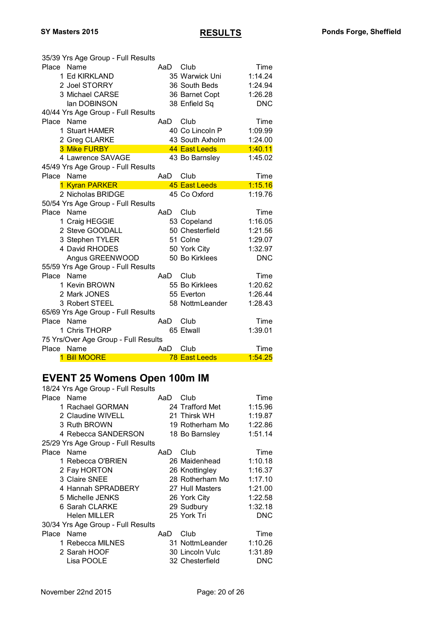|            | 35/39 Yrs Age Group - Full Results   |     |                      |            |
|------------|--------------------------------------|-----|----------------------|------------|
| Place      | Name                                 | AaD | Club                 | Time       |
|            | 1 Ed KIRKLAND                        |     | 35 Warwick Uni       | 1:14.24    |
|            | 2 Joel STORRY                        |     | 36 South Beds        | 1:24.94    |
|            | 3 Michael CARSE                      |     | 36 Barnet Copt       | 1:26.28    |
|            | lan DOBINSON                         |     | 38 Enfield Sq        | <b>DNC</b> |
|            | 40/44 Yrs Age Group - Full Results   |     |                      |            |
| Place      | Name                                 | AaD | Club                 | Time       |
|            | 1 Stuart HAMER                       |     | 40 Co Lincoln P      | 1:09.99    |
|            | 2 Greg CLARKE                        |     | 43 South Axholm      | 1:24.00    |
|            | 3 Mike FURBY                         |     | 44 East Leeds        | 1:40.11    |
|            | 4 Lawrence SAVAGE                    |     | 43 Bo Barnsley       | 1:45.02    |
|            | 45/49 Yrs Age Group - Full Results   |     |                      |            |
| Place      | Name                                 | AaD | Club                 | Time       |
|            | 1 Kyran PARKER                       |     | 45 East Leeds        | 1:15.16    |
|            | 2 Nicholas BRIDGE                    |     | 45 Co Oxford         | 1:19.76    |
|            | 50/54 Yrs Age Group - Full Results   |     |                      |            |
| Place      | Name                                 | AaD | Club                 | Time       |
|            | 1 Craig HEGGIE                       |     | 53 Copeland          | 1:16.05    |
|            | 2 Steve GOODALL                      |     | 50 Chesterfield      | 1:21.56    |
|            | 3 Stephen TYLER                      |     | 51 Colne             | 1:29.07    |
|            | 4 David RHODES                       |     | 50 York City         | 1:32.97    |
|            | Angus GREENWOOD                      |     | 50 Bo Kirklees       | <b>DNC</b> |
|            | 55/59 Yrs Age Group - Full Results   |     |                      |            |
| Place Name |                                      | AaD | Club                 | Time       |
|            | 1 Kevin BROWN                        |     | 55 Bo Kirklees       | 1:20.62    |
|            | 2 Mark JONES                         |     | 55 Everton           | 1:26.44    |
|            | 3 Robert STEEL                       |     | 58 NottmLeander      | 1:28.43    |
|            | 65/69 Yrs Age Group - Full Results   |     |                      |            |
| Place Name |                                      | AaD | Club                 | Time       |
|            | 1 Chris THORP                        |     | 65 Etwall            | 1:39.01    |
|            | 75 Yrs/Over Age Group - Full Results |     |                      |            |
| Place      | Name                                 | AaD | Club                 | Time       |
|            | <b>1 Bill MOORE</b>                  |     | <b>78 East Leeds</b> | 1:54.25    |

#### **EVENT 25 Womens Open 100m IM**

| 18/24 Yrs Age Group - Full Results |     |                 |            |
|------------------------------------|-----|-----------------|------------|
| Place Name                         | AaD | Club            | Time       |
| 1 Rachael GORMAN                   |     | 24 Trafford Met | 1:15.96    |
| 2 Claudine WIVELL                  |     | 21 Thirsk WH    | 1:19.87    |
| 3 Ruth BROWN                       |     | 19 Rotherham Mo | 1:22.86    |
| 4 Rebecca SANDERSON                |     | 18 Bo Barnsley  | 1:51.14    |
| 25/29 Yrs Age Group - Full Results |     |                 |            |
| Place Name                         | AaD | Club            | Time       |
| 1 Rebecca O'BRIEN                  |     | 26 Maidenhead   | 1:10.18    |
| 2 Fay HORTON                       |     | 26 Knottingley  | 1:16.37    |
| 3 Claire SNEE                      |     | 28 Rotherham Mo | 1:17.10    |
| 4 Hannah SPRADBERY                 |     | 27 Hull Masters | 1:21.00    |
| 5 Michelle JENKS                   |     | 26 York City    | 1:22.58    |
| 6 Sarah CLARKE                     |     | 29 Sudbury      | 1:32.18    |
| <b>Helen MILLER</b>                |     | 25 York Tri     | <b>DNC</b> |
| 30/34 Yrs Age Group - Full Results |     |                 |            |
| Place Name                         | AaD | Club            | Time       |
| 1 Rebecca MILNES                   |     | 31 NottmLeander | 1:10.26    |
| 2 Sarah HOOF                       |     | 30 Lincoln Vulc | 1:31.89    |
| Lisa POOLE                         |     | 32 Chesterfield | <b>DNC</b> |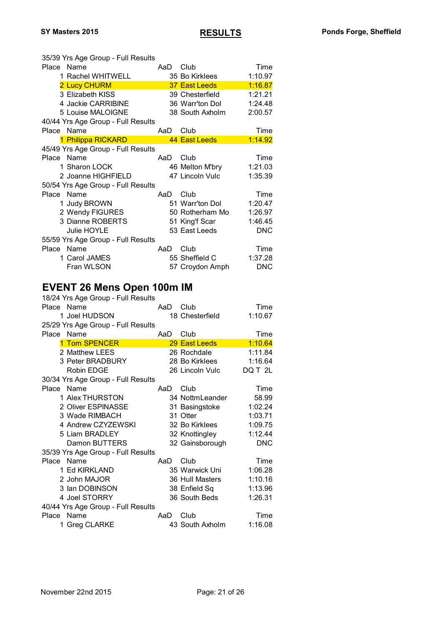| 35/39 Yrs Age Group - Full Results<br>Place<br>Name<br>AaD<br>Club<br>Time<br>1 Rachel WHITWELL<br>35 Bo Kirklees<br>1:10.97<br>1:16.87<br>2 Lucy CHURM<br>37 East Leeds<br>3 Elizabeth KISS<br>39 Chesterfield<br>1:21.21<br>4 Jackie CARRIBINE<br>36 Warr'ton Dol<br>1:24.48<br>5 Louise MALOIGNE<br>38 South Axholm<br>2:00.57<br>40/44 Yrs Age Group - Full Results<br>Place Name<br>Club<br>Time<br>AaD<br>1 Philippa RICKARD<br>44 East Leeds<br>1:14.92<br>45/49 Yrs Age Group - Full Results<br>Place Name<br>AaD<br>Club<br>Time<br>1 Sharon LOCK<br>46 Melton M'bry<br>1:21.03<br>47 Lincoln Vulc<br>2 Joanne HIGHFIELD<br>1:35.39<br>50/54 Yrs Age Group - Full Results<br>Place Name<br>AaD<br>Club<br>Time<br>1 Judy BROWN<br>51 Warr'ton Dol<br>1:20.47<br>2 Wendy FIGURES<br>50 Rotherham Mo<br>1:26.97<br>3 Dianne ROBERTS<br>51 King'f Scar<br>1:46.45<br>53 East Leeds<br><b>Julie HOYLE</b><br><b>DNC</b><br>55/59 Yrs Age Group - Full Results<br>Place<br>Name<br>Club<br>AaD<br>Time<br>1:37.28<br>1 Carol JAMES<br>55 Sheffield C<br>Fran WLSON<br>57 Croydon Amph<br><b>DNC</b><br><b>EVENT 26 Mens Open 100m IM</b><br>18/24 Yrs Age Group - Full Results<br>Name<br>Place<br>Club<br>AaD<br>Time<br>18 Chesterfield<br>1 Joel HUDSON<br>1:10.67<br>25/29 Yrs Age Group - Full Results<br>Name<br>Place<br>AaD<br>Club<br>Time<br>1 Tom SPENCER<br>29 East Leeds<br>1:10.64<br>2 Matthew LEES<br>1:11.84<br>26 Rochdale<br>3 Peter BRADBURY<br>28 Bo Kirklees<br>1:16.64<br><b>Robin EDGE</b><br>26 Lincoln Vulc<br>DQ T 2L<br>30/34 Yrs Age Group - Full Results<br>Club<br>Place Name<br>AaD<br>Time<br>1 Alex THURSTON<br>34 NottmLeander<br>58.99<br>2 Oliver ESPINASSE<br>1:02.24<br>31 Basingstoke<br>3 Wade RIMBACH<br>31 Otter<br>1:03.71<br>4 Andrew CZYZEWSKI<br>32 Bo Kirklees<br>1:09.75<br>5 Liam BRADLEY<br>1:12.44<br>32 Knottingley<br>Damon BUTTERS<br>32 Gainsborough<br><b>DNC</b><br>35/39 Yrs Age Group - Full Results<br>Place<br>Name<br>Club<br>Time<br>AaD<br>1 Ed KIRKLAND<br>35 Warwick Uni<br>1:06.28<br>2 John MAJOR<br>36 Hull Masters<br>1:10.16<br>3 Ian DOBINSON<br>38 Enfield Sq<br>1:13.96<br>4 Joel STORRY<br>36 South Beds<br>1:26.31<br>40/44 Yrs Age Group - Full Results |               |     |      |      |
|-------------------------------------------------------------------------------------------------------------------------------------------------------------------------------------------------------------------------------------------------------------------------------------------------------------------------------------------------------------------------------------------------------------------------------------------------------------------------------------------------------------------------------------------------------------------------------------------------------------------------------------------------------------------------------------------------------------------------------------------------------------------------------------------------------------------------------------------------------------------------------------------------------------------------------------------------------------------------------------------------------------------------------------------------------------------------------------------------------------------------------------------------------------------------------------------------------------------------------------------------------------------------------------------------------------------------------------------------------------------------------------------------------------------------------------------------------------------------------------------------------------------------------------------------------------------------------------------------------------------------------------------------------------------------------------------------------------------------------------------------------------------------------------------------------------------------------------------------------------------------------------------------------------------------------------------------------------------------------------------------------------------------------------------------------------------------------------------------------------------------------------------------------------------------------------------------------------------------------------------|---------------|-----|------|------|
|                                                                                                                                                                                                                                                                                                                                                                                                                                                                                                                                                                                                                                                                                                                                                                                                                                                                                                                                                                                                                                                                                                                                                                                                                                                                                                                                                                                                                                                                                                                                                                                                                                                                                                                                                                                                                                                                                                                                                                                                                                                                                                                                                                                                                                           |               |     |      |      |
|                                                                                                                                                                                                                                                                                                                                                                                                                                                                                                                                                                                                                                                                                                                                                                                                                                                                                                                                                                                                                                                                                                                                                                                                                                                                                                                                                                                                                                                                                                                                                                                                                                                                                                                                                                                                                                                                                                                                                                                                                                                                                                                                                                                                                                           |               |     |      |      |
|                                                                                                                                                                                                                                                                                                                                                                                                                                                                                                                                                                                                                                                                                                                                                                                                                                                                                                                                                                                                                                                                                                                                                                                                                                                                                                                                                                                                                                                                                                                                                                                                                                                                                                                                                                                                                                                                                                                                                                                                                                                                                                                                                                                                                                           |               |     |      |      |
|                                                                                                                                                                                                                                                                                                                                                                                                                                                                                                                                                                                                                                                                                                                                                                                                                                                                                                                                                                                                                                                                                                                                                                                                                                                                                                                                                                                                                                                                                                                                                                                                                                                                                                                                                                                                                                                                                                                                                                                                                                                                                                                                                                                                                                           |               |     |      |      |
|                                                                                                                                                                                                                                                                                                                                                                                                                                                                                                                                                                                                                                                                                                                                                                                                                                                                                                                                                                                                                                                                                                                                                                                                                                                                                                                                                                                                                                                                                                                                                                                                                                                                                                                                                                                                                                                                                                                                                                                                                                                                                                                                                                                                                                           |               |     |      |      |
|                                                                                                                                                                                                                                                                                                                                                                                                                                                                                                                                                                                                                                                                                                                                                                                                                                                                                                                                                                                                                                                                                                                                                                                                                                                                                                                                                                                                                                                                                                                                                                                                                                                                                                                                                                                                                                                                                                                                                                                                                                                                                                                                                                                                                                           |               |     |      |      |
|                                                                                                                                                                                                                                                                                                                                                                                                                                                                                                                                                                                                                                                                                                                                                                                                                                                                                                                                                                                                                                                                                                                                                                                                                                                                                                                                                                                                                                                                                                                                                                                                                                                                                                                                                                                                                                                                                                                                                                                                                                                                                                                                                                                                                                           |               |     |      |      |
|                                                                                                                                                                                                                                                                                                                                                                                                                                                                                                                                                                                                                                                                                                                                                                                                                                                                                                                                                                                                                                                                                                                                                                                                                                                                                                                                                                                                                                                                                                                                                                                                                                                                                                                                                                                                                                                                                                                                                                                                                                                                                                                                                                                                                                           |               |     |      |      |
|                                                                                                                                                                                                                                                                                                                                                                                                                                                                                                                                                                                                                                                                                                                                                                                                                                                                                                                                                                                                                                                                                                                                                                                                                                                                                                                                                                                                                                                                                                                                                                                                                                                                                                                                                                                                                                                                                                                                                                                                                                                                                                                                                                                                                                           |               |     |      |      |
|                                                                                                                                                                                                                                                                                                                                                                                                                                                                                                                                                                                                                                                                                                                                                                                                                                                                                                                                                                                                                                                                                                                                                                                                                                                                                                                                                                                                                                                                                                                                                                                                                                                                                                                                                                                                                                                                                                                                                                                                                                                                                                                                                                                                                                           |               |     |      |      |
|                                                                                                                                                                                                                                                                                                                                                                                                                                                                                                                                                                                                                                                                                                                                                                                                                                                                                                                                                                                                                                                                                                                                                                                                                                                                                                                                                                                                                                                                                                                                                                                                                                                                                                                                                                                                                                                                                                                                                                                                                                                                                                                                                                                                                                           |               |     |      |      |
|                                                                                                                                                                                                                                                                                                                                                                                                                                                                                                                                                                                                                                                                                                                                                                                                                                                                                                                                                                                                                                                                                                                                                                                                                                                                                                                                                                                                                                                                                                                                                                                                                                                                                                                                                                                                                                                                                                                                                                                                                                                                                                                                                                                                                                           |               |     |      |      |
|                                                                                                                                                                                                                                                                                                                                                                                                                                                                                                                                                                                                                                                                                                                                                                                                                                                                                                                                                                                                                                                                                                                                                                                                                                                                                                                                                                                                                                                                                                                                                                                                                                                                                                                                                                                                                                                                                                                                                                                                                                                                                                                                                                                                                                           |               |     |      |      |
|                                                                                                                                                                                                                                                                                                                                                                                                                                                                                                                                                                                                                                                                                                                                                                                                                                                                                                                                                                                                                                                                                                                                                                                                                                                                                                                                                                                                                                                                                                                                                                                                                                                                                                                                                                                                                                                                                                                                                                                                                                                                                                                                                                                                                                           |               |     |      |      |
|                                                                                                                                                                                                                                                                                                                                                                                                                                                                                                                                                                                                                                                                                                                                                                                                                                                                                                                                                                                                                                                                                                                                                                                                                                                                                                                                                                                                                                                                                                                                                                                                                                                                                                                                                                                                                                                                                                                                                                                                                                                                                                                                                                                                                                           |               |     |      |      |
|                                                                                                                                                                                                                                                                                                                                                                                                                                                                                                                                                                                                                                                                                                                                                                                                                                                                                                                                                                                                                                                                                                                                                                                                                                                                                                                                                                                                                                                                                                                                                                                                                                                                                                                                                                                                                                                                                                                                                                                                                                                                                                                                                                                                                                           |               |     |      |      |
|                                                                                                                                                                                                                                                                                                                                                                                                                                                                                                                                                                                                                                                                                                                                                                                                                                                                                                                                                                                                                                                                                                                                                                                                                                                                                                                                                                                                                                                                                                                                                                                                                                                                                                                                                                                                                                                                                                                                                                                                                                                                                                                                                                                                                                           |               |     |      |      |
|                                                                                                                                                                                                                                                                                                                                                                                                                                                                                                                                                                                                                                                                                                                                                                                                                                                                                                                                                                                                                                                                                                                                                                                                                                                                                                                                                                                                                                                                                                                                                                                                                                                                                                                                                                                                                                                                                                                                                                                                                                                                                                                                                                                                                                           |               |     |      |      |
|                                                                                                                                                                                                                                                                                                                                                                                                                                                                                                                                                                                                                                                                                                                                                                                                                                                                                                                                                                                                                                                                                                                                                                                                                                                                                                                                                                                                                                                                                                                                                                                                                                                                                                                                                                                                                                                                                                                                                                                                                                                                                                                                                                                                                                           |               |     |      |      |
|                                                                                                                                                                                                                                                                                                                                                                                                                                                                                                                                                                                                                                                                                                                                                                                                                                                                                                                                                                                                                                                                                                                                                                                                                                                                                                                                                                                                                                                                                                                                                                                                                                                                                                                                                                                                                                                                                                                                                                                                                                                                                                                                                                                                                                           |               |     |      |      |
|                                                                                                                                                                                                                                                                                                                                                                                                                                                                                                                                                                                                                                                                                                                                                                                                                                                                                                                                                                                                                                                                                                                                                                                                                                                                                                                                                                                                                                                                                                                                                                                                                                                                                                                                                                                                                                                                                                                                                                                                                                                                                                                                                                                                                                           |               |     |      |      |
|                                                                                                                                                                                                                                                                                                                                                                                                                                                                                                                                                                                                                                                                                                                                                                                                                                                                                                                                                                                                                                                                                                                                                                                                                                                                                                                                                                                                                                                                                                                                                                                                                                                                                                                                                                                                                                                                                                                                                                                                                                                                                                                                                                                                                                           |               |     |      |      |
|                                                                                                                                                                                                                                                                                                                                                                                                                                                                                                                                                                                                                                                                                                                                                                                                                                                                                                                                                                                                                                                                                                                                                                                                                                                                                                                                                                                                                                                                                                                                                                                                                                                                                                                                                                                                                                                                                                                                                                                                                                                                                                                                                                                                                                           |               |     |      |      |
|                                                                                                                                                                                                                                                                                                                                                                                                                                                                                                                                                                                                                                                                                                                                                                                                                                                                                                                                                                                                                                                                                                                                                                                                                                                                                                                                                                                                                                                                                                                                                                                                                                                                                                                                                                                                                                                                                                                                                                                                                                                                                                                                                                                                                                           |               |     |      |      |
|                                                                                                                                                                                                                                                                                                                                                                                                                                                                                                                                                                                                                                                                                                                                                                                                                                                                                                                                                                                                                                                                                                                                                                                                                                                                                                                                                                                                                                                                                                                                                                                                                                                                                                                                                                                                                                                                                                                                                                                                                                                                                                                                                                                                                                           |               |     |      |      |
|                                                                                                                                                                                                                                                                                                                                                                                                                                                                                                                                                                                                                                                                                                                                                                                                                                                                                                                                                                                                                                                                                                                                                                                                                                                                                                                                                                                                                                                                                                                                                                                                                                                                                                                                                                                                                                                                                                                                                                                                                                                                                                                                                                                                                                           |               |     |      |      |
|                                                                                                                                                                                                                                                                                                                                                                                                                                                                                                                                                                                                                                                                                                                                                                                                                                                                                                                                                                                                                                                                                                                                                                                                                                                                                                                                                                                                                                                                                                                                                                                                                                                                                                                                                                                                                                                                                                                                                                                                                                                                                                                                                                                                                                           |               |     |      |      |
|                                                                                                                                                                                                                                                                                                                                                                                                                                                                                                                                                                                                                                                                                                                                                                                                                                                                                                                                                                                                                                                                                                                                                                                                                                                                                                                                                                                                                                                                                                                                                                                                                                                                                                                                                                                                                                                                                                                                                                                                                                                                                                                                                                                                                                           |               |     |      |      |
|                                                                                                                                                                                                                                                                                                                                                                                                                                                                                                                                                                                                                                                                                                                                                                                                                                                                                                                                                                                                                                                                                                                                                                                                                                                                                                                                                                                                                                                                                                                                                                                                                                                                                                                                                                                                                                                                                                                                                                                                                                                                                                                                                                                                                                           |               |     |      |      |
|                                                                                                                                                                                                                                                                                                                                                                                                                                                                                                                                                                                                                                                                                                                                                                                                                                                                                                                                                                                                                                                                                                                                                                                                                                                                                                                                                                                                                                                                                                                                                                                                                                                                                                                                                                                                                                                                                                                                                                                                                                                                                                                                                                                                                                           |               |     |      |      |
|                                                                                                                                                                                                                                                                                                                                                                                                                                                                                                                                                                                                                                                                                                                                                                                                                                                                                                                                                                                                                                                                                                                                                                                                                                                                                                                                                                                                                                                                                                                                                                                                                                                                                                                                                                                                                                                                                                                                                                                                                                                                                                                                                                                                                                           |               |     |      |      |
|                                                                                                                                                                                                                                                                                                                                                                                                                                                                                                                                                                                                                                                                                                                                                                                                                                                                                                                                                                                                                                                                                                                                                                                                                                                                                                                                                                                                                                                                                                                                                                                                                                                                                                                                                                                                                                                                                                                                                                                                                                                                                                                                                                                                                                           |               |     |      |      |
|                                                                                                                                                                                                                                                                                                                                                                                                                                                                                                                                                                                                                                                                                                                                                                                                                                                                                                                                                                                                                                                                                                                                                                                                                                                                                                                                                                                                                                                                                                                                                                                                                                                                                                                                                                                                                                                                                                                                                                                                                                                                                                                                                                                                                                           |               |     |      |      |
|                                                                                                                                                                                                                                                                                                                                                                                                                                                                                                                                                                                                                                                                                                                                                                                                                                                                                                                                                                                                                                                                                                                                                                                                                                                                                                                                                                                                                                                                                                                                                                                                                                                                                                                                                                                                                                                                                                                                                                                                                                                                                                                                                                                                                                           |               |     |      |      |
|                                                                                                                                                                                                                                                                                                                                                                                                                                                                                                                                                                                                                                                                                                                                                                                                                                                                                                                                                                                                                                                                                                                                                                                                                                                                                                                                                                                                                                                                                                                                                                                                                                                                                                                                                                                                                                                                                                                                                                                                                                                                                                                                                                                                                                           |               |     |      |      |
|                                                                                                                                                                                                                                                                                                                                                                                                                                                                                                                                                                                                                                                                                                                                                                                                                                                                                                                                                                                                                                                                                                                                                                                                                                                                                                                                                                                                                                                                                                                                                                                                                                                                                                                                                                                                                                                                                                                                                                                                                                                                                                                                                                                                                                           |               |     |      |      |
|                                                                                                                                                                                                                                                                                                                                                                                                                                                                                                                                                                                                                                                                                                                                                                                                                                                                                                                                                                                                                                                                                                                                                                                                                                                                                                                                                                                                                                                                                                                                                                                                                                                                                                                                                                                                                                                                                                                                                                                                                                                                                                                                                                                                                                           |               |     |      |      |
|                                                                                                                                                                                                                                                                                                                                                                                                                                                                                                                                                                                                                                                                                                                                                                                                                                                                                                                                                                                                                                                                                                                                                                                                                                                                                                                                                                                                                                                                                                                                                                                                                                                                                                                                                                                                                                                                                                                                                                                                                                                                                                                                                                                                                                           |               |     |      |      |
|                                                                                                                                                                                                                                                                                                                                                                                                                                                                                                                                                                                                                                                                                                                                                                                                                                                                                                                                                                                                                                                                                                                                                                                                                                                                                                                                                                                                                                                                                                                                                                                                                                                                                                                                                                                                                                                                                                                                                                                                                                                                                                                                                                                                                                           |               |     |      |      |
|                                                                                                                                                                                                                                                                                                                                                                                                                                                                                                                                                                                                                                                                                                                                                                                                                                                                                                                                                                                                                                                                                                                                                                                                                                                                                                                                                                                                                                                                                                                                                                                                                                                                                                                                                                                                                                                                                                                                                                                                                                                                                                                                                                                                                                           |               |     |      |      |
|                                                                                                                                                                                                                                                                                                                                                                                                                                                                                                                                                                                                                                                                                                                                                                                                                                                                                                                                                                                                                                                                                                                                                                                                                                                                                                                                                                                                                                                                                                                                                                                                                                                                                                                                                                                                                                                                                                                                                                                                                                                                                                                                                                                                                                           |               |     |      |      |
|                                                                                                                                                                                                                                                                                                                                                                                                                                                                                                                                                                                                                                                                                                                                                                                                                                                                                                                                                                                                                                                                                                                                                                                                                                                                                                                                                                                                                                                                                                                                                                                                                                                                                                                                                                                                                                                                                                                                                                                                                                                                                                                                                                                                                                           |               |     |      |      |
|                                                                                                                                                                                                                                                                                                                                                                                                                                                                                                                                                                                                                                                                                                                                                                                                                                                                                                                                                                                                                                                                                                                                                                                                                                                                                                                                                                                                                                                                                                                                                                                                                                                                                                                                                                                                                                                                                                                                                                                                                                                                                                                                                                                                                                           |               |     |      |      |
|                                                                                                                                                                                                                                                                                                                                                                                                                                                                                                                                                                                                                                                                                                                                                                                                                                                                                                                                                                                                                                                                                                                                                                                                                                                                                                                                                                                                                                                                                                                                                                                                                                                                                                                                                                                                                                                                                                                                                                                                                                                                                                                                                                                                                                           |               |     |      |      |
|                                                                                                                                                                                                                                                                                                                                                                                                                                                                                                                                                                                                                                                                                                                                                                                                                                                                                                                                                                                                                                                                                                                                                                                                                                                                                                                                                                                                                                                                                                                                                                                                                                                                                                                                                                                                                                                                                                                                                                                                                                                                                                                                                                                                                                           |               |     |      |      |
|                                                                                                                                                                                                                                                                                                                                                                                                                                                                                                                                                                                                                                                                                                                                                                                                                                                                                                                                                                                                                                                                                                                                                                                                                                                                                                                                                                                                                                                                                                                                                                                                                                                                                                                                                                                                                                                                                                                                                                                                                                                                                                                                                                                                                                           |               |     |      |      |
|                                                                                                                                                                                                                                                                                                                                                                                                                                                                                                                                                                                                                                                                                                                                                                                                                                                                                                                                                                                                                                                                                                                                                                                                                                                                                                                                                                                                                                                                                                                                                                                                                                                                                                                                                                                                                                                                                                                                                                                                                                                                                                                                                                                                                                           |               |     |      |      |
|                                                                                                                                                                                                                                                                                                                                                                                                                                                                                                                                                                                                                                                                                                                                                                                                                                                                                                                                                                                                                                                                                                                                                                                                                                                                                                                                                                                                                                                                                                                                                                                                                                                                                                                                                                                                                                                                                                                                                                                                                                                                                                                                                                                                                                           |               |     |      |      |
|                                                                                                                                                                                                                                                                                                                                                                                                                                                                                                                                                                                                                                                                                                                                                                                                                                                                                                                                                                                                                                                                                                                                                                                                                                                                                                                                                                                                                                                                                                                                                                                                                                                                                                                                                                                                                                                                                                                                                                                                                                                                                                                                                                                                                                           |               |     |      |      |
|                                                                                                                                                                                                                                                                                                                                                                                                                                                                                                                                                                                                                                                                                                                                                                                                                                                                                                                                                                                                                                                                                                                                                                                                                                                                                                                                                                                                                                                                                                                                                                                                                                                                                                                                                                                                                                                                                                                                                                                                                                                                                                                                                                                                                                           |               |     |      |      |
| 43 South Axholm<br>1 Greg CLARKE<br>1:16.08                                                                                                                                                                                                                                                                                                                                                                                                                                                                                                                                                                                                                                                                                                                                                                                                                                                                                                                                                                                                                                                                                                                                                                                                                                                                                                                                                                                                                                                                                                                                                                                                                                                                                                                                                                                                                                                                                                                                                                                                                                                                                                                                                                                               | Name<br>Place | AaD | Club | Time |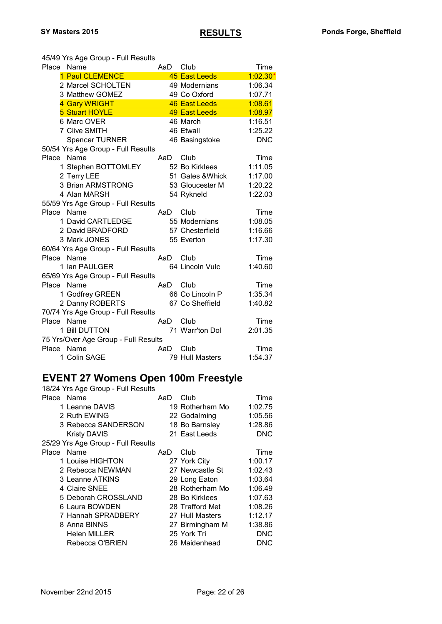45/49 Yrs Age Group - Full Results

| Place Name |                                      | AaD | Club             | Time       |
|------------|--------------------------------------|-----|------------------|------------|
|            | 1 Paul CLEMENCE                      |     | 45 East Leeds    | $1:02.30*$ |
|            | 2 Marcel SCHOLTEN                    |     | 49 Modernians    | 1:06.34    |
|            | 3 Matthew GOMEZ                      |     | 49 Co Oxford     | 1:07.71    |
|            | 4 Gary WRIGHT                        |     | 46 East Leeds    | 1:08.61    |
|            | 5 Stuart HOYLE                       |     | 49 East Leeds    | 1:08.97    |
|            | 6 Marc OVER                          |     | 46 March         | 1:16.51    |
|            | 7 Clive SMITH                        |     | 46 Etwall        | 1:25.22    |
|            | <b>Spencer TURNER</b>                |     | 46 Basingstoke   | <b>DNC</b> |
|            | 50/54 Yrs Age Group - Full Results   |     |                  |            |
| Place      | Name                                 | AaD | Club             | Time       |
|            | 1 Stephen BOTTOMLEY                  |     | 52 Bo Kirklees   | 1:11.05    |
|            | 2 Terry LEE                          |     | 51 Gates & Whick | 1:17.00    |
|            | 3 Brian ARMSTRONG                    |     | 53 Gloucester M  | 1:20.22    |
|            | 4 Alan MARSH                         |     | 54 Rykneld       | 1:22.03    |
|            | 55/59 Yrs Age Group - Full Results   |     |                  |            |
| Place Name |                                      | AaD | Club             | Time       |
|            | 1 David CARTLEDGE                    |     | 55 Modernians    | 1:08.05    |
|            | 2 David BRADFORD                     |     | 57 Chesterfield  | 1:16.66    |
|            | 3 Mark JONES                         |     | 55 Everton       | 1:17.30    |
|            | 60/64 Yrs Age Group - Full Results   |     |                  |            |
| Place Name |                                      | AaD | Club             | Time       |
|            | 1 Ian PAULGER                        |     | 64 Lincoln Vulc  | 1:40.60    |
|            | 65/69 Yrs Age Group - Full Results   |     |                  |            |
| Place Name |                                      | AaD | Club             | Time       |
|            | 1 Godfrey GREEN                      |     | 66 Co Lincoln P  | 1:35.34    |
|            | 2 Danny ROBERTS                      |     | 67 Co Sheffield  | 1:40.82    |
|            | 70/74 Yrs Age Group - Full Results   |     |                  |            |
| Place Name |                                      | AaD | Club             | Time       |
|            | 1 Bill DUTTON                        |     | 71 Warr'ton Dol  | 2:01.35    |
|            | 75 Yrs/Over Age Group - Full Results |     |                  |            |
| Place Name |                                      | AaD | Club             | Time       |
|            | 1 Colin SAGE                         |     | 79 Hull Masters  | 1:54.37    |

#### **EVENT 27 Womens Open 100m Freestyle**

| 18/24 Yrs Age Group - Full Results |     |                 |            |
|------------------------------------|-----|-----------------|------------|
| Place Name                         | AaD | Club            | Time       |
| 1 Leanne DAVIS                     |     | 19 Rotherham Mo | 1:02.75    |
| 2 Ruth EWING                       |     | 22 Godalming    | 1:05.56    |
| 3 Rebecca SANDERSON                |     | 18 Bo Barnsley  | 1:28.86    |
| <b>Kristy DAVIS</b>                |     | 21 East Leeds   | <b>DNC</b> |
| 25/29 Yrs Age Group - Full Results |     |                 |            |
| Place Name                         | AaD | Club            | Time       |
| 1 Louise HIGHTON                   |     | 27 York City    | 1:00.17    |
| 2 Rebecca NEWMAN                   |     | 27 Newcastle St | 1:02.43    |
| 3 Leanne ATKINS                    |     | 29 Long Eaton   | 1:03.64    |
| 4 Claire SNEE                      |     | 28 Rotherham Mo | 1:06.49    |
| 5 Deborah CROSSLAND                |     | 28 Bo Kirklees  | 1:07.63    |
| 6 Laura BOWDEN                     |     | 28 Trafford Met | 1:08.26    |
| 7 Hannah SPRADBERY                 |     | 27 Hull Masters | 1:12.17    |
| 8 Anna BINNS                       |     | 27 Birmingham M | 1:38.86    |
| <b>Helen MILLER</b>                |     | 25 York Tri     | DNC        |
| Rebecca O'BRIEN                    |     | 26 Maidenhead   | DNC        |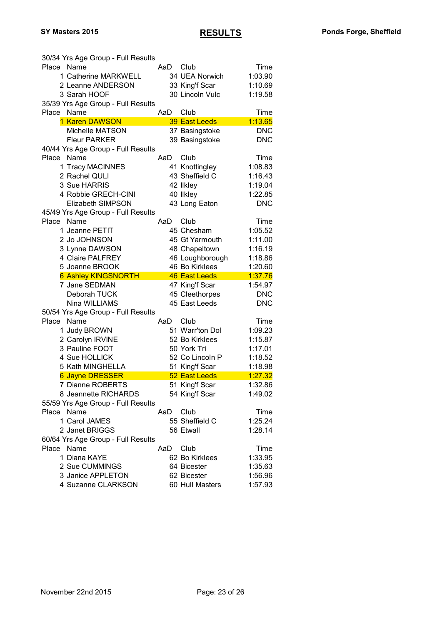| 30/34 Yrs Age Group - Full Results |     |                                 |            |
|------------------------------------|-----|---------------------------------|------------|
| Place Name                         | AaD | Club                            | Time       |
| 1 Catherine MARKWELL               |     | 34 UEA Norwich                  | 1:03.90    |
| 2 Leanne ANDERSON                  |     | 33 King'f Scar                  | 1:10.69    |
| 3 Sarah HOOF                       |     | 30 Lincoln Vulc                 | 1:19.58    |
| 35/39 Yrs Age Group - Full Results |     |                                 |            |
| Name<br>Place                      | AaD | Club                            | Time       |
| 1 Karen DAWSON                     |     | 39 East Leeds                   | 1:13.65    |
| Michelle MATSON                    |     | 37 Basingstoke                  | <b>DNC</b> |
| <b>Fleur PARKER</b>                |     | 39 Basingstoke                  | <b>DNC</b> |
| 40/44 Yrs Age Group - Full Results |     |                                 |            |
| Name<br>Place                      | AaD | Club                            | Time       |
|                                    |     |                                 |            |
| 1 Tracy MACINNES                   |     | 41 Knottingley                  | 1:08.83    |
| 2 Rachel QULI                      |     | 43 Sheffield C                  | 1:16.43    |
| 3 Sue HARRIS                       |     | 42 Ilkley                       | 1:19.04    |
| 4 Robbie GRECH-CINI                |     | 40 Ilkley                       | 1:22.85    |
| Elizabeth SIMPSON                  |     | 43 Long Eaton                   | <b>DNC</b> |
| 45/49 Yrs Age Group - Full Results |     |                                 |            |
| Name<br>Place                      | AaD | Club                            | Time       |
| 1 Jeanne PETIT                     |     | 45 Chesham                      | 1:05.52    |
| 2 Jo JOHNSON                       |     | 45 Gt Yarmouth                  | 1:11.00    |
| 3 Lynne DAWSON                     |     | 48 Chapeltown                   | 1:16.19    |
| 4 Claire PALFREY                   |     | 46 Loughborough                 | 1:18.86    |
| 5 Joanne BROOK                     |     | 46 Bo Kirklees                  | 1:20.60    |
| <b>6 Ashley KINGSNORTH</b>         |     | 46 East Leeds                   | 1:37.76    |
| 7 Jane SEDMAN                      |     | 47 King'f Scar                  | 1:54.97    |
| Deborah TUCK                       |     | 45 Cleethorpes                  | <b>DNC</b> |
| Nina WILLIAMS                      |     | 45 East Leeds                   | <b>DNC</b> |
| 50/54 Yrs Age Group - Full Results |     |                                 |            |
| Place<br>Name                      | AaD | Club                            | Time       |
| 1 Judy BROWN                       |     | 51 Warr'ton Dol                 | 1:09.23    |
| 2 Carolyn IRVINE                   |     | 52 Bo Kirklees                  | 1:15.87    |
| 3 Pauline FOOT                     |     | 50 York Tri                     | 1:17.01    |
| 4 Sue HOLLICK                      |     | 52 Co Lincoln P                 | 1:18.52    |
| 5 Kath MINGHELLA                   |     |                                 | 1:18.98    |
|                                    |     | 51 King'f Scar<br>52 East Leeds | 1:27.32    |
| <b>6 Jayne DRESSER</b>             |     |                                 |            |
| 7 Dianne ROBERTS                   |     | 51 King'f Scar                  | 1:32.86    |
| 8 Jeannette RICHARDS               |     | 54 King'f Scar                  | 1:49.02    |
| 55/59 Yrs Age Group - Full Results |     |                                 |            |
| Name<br>Place                      | AaD | Club                            | Time       |
| 1 Carol JAMES                      |     | 55 Sheffield C                  | 1:25.24    |
| 2 Janet BRIGGS                     |     | 56 Etwall                       | 1:28.14    |
| 60/64 Yrs Age Group - Full Results |     |                                 |            |
| Name<br>Place                      | AaD | Club                            | Time       |
| 1 Diana KAYE                       |     | 62 Bo Kirklees                  | 1:33.95    |
| 2 Sue CUMMINGS                     |     | 64 Bicester                     | 1:35.63    |
| 3 Janice APPLETON                  |     | 62 Bicester                     | 1:56.96    |
| 4 Suzanne CLARKSON                 |     | 60 Hull Masters                 | 1:57.93    |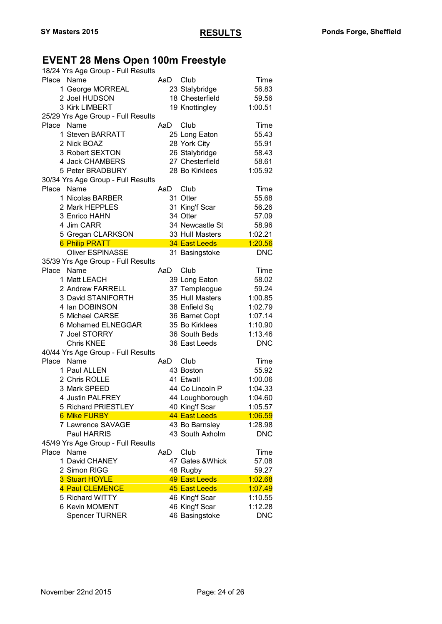# **EVENT 28 Mens Open 100m Freestyle**

| 18/24 Yrs Age Group - Full Results               |     |                                  |                       |
|--------------------------------------------------|-----|----------------------------------|-----------------------|
| Place Name                                       | AaD | Club                             | Time                  |
| 1 George MORREAL                                 |     | 23 Stalybridge                   | 56.83                 |
| 2 Joel HUDSON                                    |     | 18 Chesterfield                  | 59.56                 |
| 3 Kirk LIMBERT                                   |     | 19 Knottingley                   | 1:00.51               |
| 25/29 Yrs Age Group - Full Results               |     |                                  |                       |
| Name<br>Place                                    | AaD | Club                             | Time                  |
| 1 Steven BARRATT                                 |     | 25 Long Eaton                    | 55.43                 |
| 2 Nick BOAZ                                      |     | 28 York City                     | 55.91                 |
| 3 Robert SEXTON                                  |     | 26 Stalybridge                   | 58.43                 |
| 4 Jack CHAMBERS                                  |     | 27 Chesterfield                  | 58.61                 |
| 5 Peter BRADBURY                                 |     | 28 Bo Kirklees                   | 1:05.92               |
| 30/34 Yrs Age Group - Full Results               |     |                                  |                       |
| Name<br>Place                                    | AaD | Club                             | Time                  |
| 1 Nicolas BARBER                                 |     | 31 Otter                         | 55.68                 |
| 2 Mark HEPPLES                                   |     | 31 King'f Scar                   | 56.26                 |
| 3 Enrico HAHN                                    |     | 34 Otter                         | 57.09                 |
| 4 Jim CARR                                       |     | 34 Newcastle St                  | 58.96                 |
|                                                  |     |                                  |                       |
| 5 Gregan CLARKSON                                |     | 33 Hull Masters                  | 1:02.21               |
| <b>6 Philip PRATT</b><br><b>Oliver ESPINASSE</b> |     | 34 East Leeds                    | 1:20.56               |
|                                                  |     | 31 Basingstoke                   | <b>DNC</b>            |
| 35/39 Yrs Age Group - Full Results               |     |                                  |                       |
| Place Name                                       | AaD | Club                             | Time                  |
| 1 Matt LEACH                                     |     | 39 Long Eaton                    | 58.02                 |
| 2 Andrew FARRELL                                 |     | 37 Templeogue                    | 59.24                 |
| 3 David STANIFORTH                               |     | 35 Hull Masters                  | 1:00.85               |
| 4 Ian DOBINSON                                   |     | 38 Enfield Sq                    | 1:02.79               |
| 5 Michael CARSE                                  |     | 36 Barnet Copt                   | 1:07.14               |
| 6 Mohamed ELNEGGAR                               |     | 35 Bo Kirklees                   | 1:10.90               |
| 7 Joel STORRY                                    |     | 36 South Beds                    | 1:13.46               |
| <b>Chris KNEE</b>                                |     | 36 East Leeds                    | <b>DNC</b>            |
| 40/44 Yrs Age Group - Full Results               |     |                                  |                       |
| Place<br>Name                                    | AaD | Club                             | Time                  |
| 1 Paul ALLEN                                     |     | 43 Boston                        | 55.92                 |
| 2 Chris ROLLE                                    |     | 41 Etwall                        | 1:00.06               |
| 3 Mark SPEED                                     |     | 44 Co Lincoln P                  | 1:04.33               |
| 4 Justin PALFREY                                 |     | 44 Loughborough                  | 1:04.60               |
| 5 Richard PRIESTLEY                              |     | 40 King'f Scar                   | 1:05.57               |
| <b>6 Mike FURBY</b>                              |     | 44 East Leeds                    | 1:06.59               |
| 7 Lawrence SAVAGE                                |     | 43 Bo Barnsley                   | 1:28.98               |
| Paul HARRIS                                      |     | 43 South Axholm                  | <b>DNC</b>            |
| 45/49 Yrs Age Group - Full Results               |     |                                  |                       |
| Place<br>Name                                    | AaD | Club                             | Time                  |
| 1 David CHANEY                                   |     | 47 Gates & Whick                 | 57.08                 |
| 2 Simon RIGG                                     |     | 48 Rugby                         | 59.27                 |
| 3 Stuart HOYLE                                   |     | <b>49 East Leeds</b>             | 1:02.68               |
|                                                  |     |                                  |                       |
| 4 Paul CLEMENCE                                  |     | 45 East Leeds                    | 1:07.49               |
| 5 Richard WITTY                                  |     |                                  |                       |
|                                                  |     | 46 King'f Scar                   | 1:10.55               |
| 6 Kevin MOMENT<br><b>Spencer TURNER</b>          |     | 46 King'f Scar<br>46 Basingstoke | 1:12.28<br><b>DNC</b> |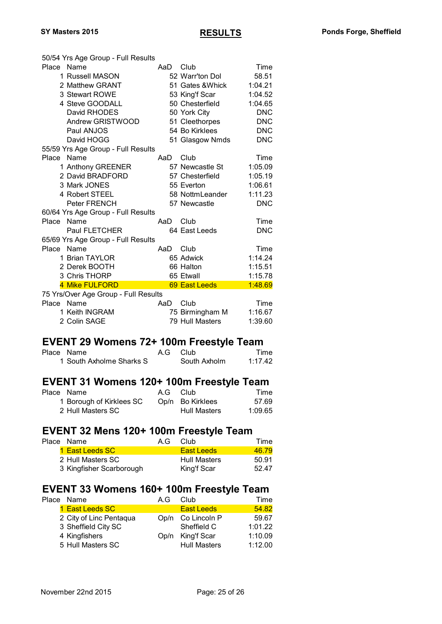| 50/54 Yrs Age Group - Full Results<br>Place<br>Name<br>1 Russell MASON<br>2 Matthew GRANT<br>3 Stewart ROWE<br>4 Steve GOODALL<br>David RHODES | AaD | Club<br>52 Warr'ton Dol<br>51 Gates & Whick<br>53 King'f Scar<br>50 Chesterfield<br>50 York City | Time<br>58.51<br>1:04.21<br>1:04.52<br>1:04.65<br><b>DNC</b> |
|------------------------------------------------------------------------------------------------------------------------------------------------|-----|--------------------------------------------------------------------------------------------------|--------------------------------------------------------------|
| Andrew GRISTWOOD<br>Paul ANJOS                                                                                                                 |     | 51 Cleethorpes<br>54 Bo Kirklees                                                                 | <b>DNC</b><br><b>DNC</b>                                     |
| David HOGG                                                                                                                                     |     | 51 Glasgow Nmds                                                                                  | <b>DNC</b>                                                   |
| 55/59 Yrs Age Group - Full Results                                                                                                             |     |                                                                                                  |                                                              |
| Name<br>Place                                                                                                                                  | AaD | Club                                                                                             | Time                                                         |
| 1 Anthony GREENER                                                                                                                              |     | 57 Newcastle St                                                                                  | 1:05.09                                                      |
| 2 David BRADFORD                                                                                                                               |     | 57 Chesterfield                                                                                  | 1:05.19                                                      |
| 3 Mark JONES                                                                                                                                   |     | 55 Everton                                                                                       | 1:06.61                                                      |
| 4 Robert STEEL                                                                                                                                 |     | 58 NottmLeander                                                                                  | 1:11.23                                                      |
| Peter FRENCH                                                                                                                                   |     | 57 Newcastle                                                                                     | <b>DNC</b>                                                   |
| 60/64 Yrs Age Group - Full Results                                                                                                             |     |                                                                                                  |                                                              |
| Place<br>Name                                                                                                                                  | AaD | Club                                                                                             | Time                                                         |
| <b>Paul FLETCHER</b>                                                                                                                           |     | 64 East Leeds                                                                                    | <b>DNC</b>                                                   |
| 65/69 Yrs Age Group - Full Results                                                                                                             |     |                                                                                                  |                                                              |
| Place Name                                                                                                                                     | AaD | Club                                                                                             | Time                                                         |
| 1 Brian TAYLOR                                                                                                                                 |     | 65 Adwick                                                                                        | 1:14.24                                                      |
| 2 Derek BOOTH                                                                                                                                  |     | 66 Halton                                                                                        | 1:15.51                                                      |
| 3 Chris THORP                                                                                                                                  |     | 65 Etwall                                                                                        | 1:15.78                                                      |
| 4 Mike FULFORD                                                                                                                                 |     | 69 East Leeds                                                                                    | 1:48.69                                                      |
| 75 Yrs/Over Age Group - Full Results                                                                                                           |     |                                                                                                  |                                                              |
| Place<br>Name                                                                                                                                  | AaD | Club                                                                                             | Time                                                         |
| 1 Keith INGRAM                                                                                                                                 |     | 75 Birmingham M                                                                                  | 1:16.67                                                      |
| 2 Colin SAGE                                                                                                                                   |     | 79 Hull Masters                                                                                  | 1:39.60                                                      |

### **EVENT 29 Womens 72+ 100m Freestyle Team**

| Place Name               | A.G Club     | Time    |
|--------------------------|--------------|---------|
| 1 South Axholme Sharks S | South Axholm | 1:17.42 |

#### **EVENT 31 Womens 120+ 100m Freestyle Team**

| Place Name               | A.G Club |                     | Time    |
|--------------------------|----------|---------------------|---------|
| 1 Borough of Kirklees SC |          | Op/n Bo Kirklees    | 57.69   |
| 2 Hull Masters SC        |          | <b>Hull Masters</b> | 1:09.65 |

# **EVENT 32 Mens 120+ 100m Freestyle Team**<br>Place Name A.G Club

| Place Name               | A.G | Club                | Time  |
|--------------------------|-----|---------------------|-------|
| 1 East Leeds SC          |     | East Leeds          | 46.79 |
| 2 Hull Masters SC        |     | <b>Hull Masters</b> | 50.91 |
| 3 Kingfisher Scarborough |     | King'f Scar         | 52.47 |
|                          |     |                     |       |

# **EVENT 33 Womens 160+ 100m Freestyle Team**<br>Place Name A.G Club Time

| Place Name              | A.G | Club                | Time    |
|-------------------------|-----|---------------------|---------|
| 1 East Leeds SC         |     | <b>East Leeds</b>   | 54.82   |
| 2 City of Linc Pentaqua |     | Op/n Co Lincoln P   | 59.67   |
| 3 Sheffield City SC     |     | Sheffield C         | 1:01.22 |
| 4 Kingfishers           |     | Op/n King'f Scar    | 1:10.09 |
| 5 Hull Masters SC       |     | <b>Hull Masters</b> | 1:12.00 |
|                         |     |                     |         |